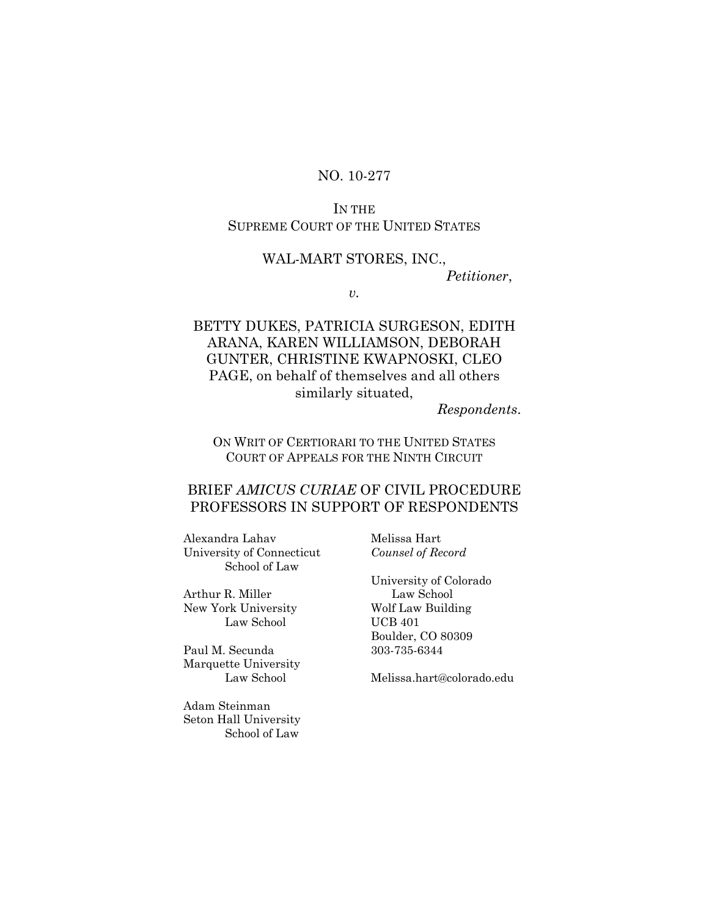## NO. 10-277

### IN THE SUPREME COURT OF THE UNITED STATES

### WAL-MART STORES, INC.,

*Petitioner*,

*v.* 

## BETTY DUKES, PATRICIA SURGESON, EDITH ARANA, KAREN WILLIAMSON, DEBORAH GUNTER, CHRISTINE KWAPNOSKI, CLEO PAGE, on behalf of themselves and all others similarly situated,

### *Respondents*.

### ON WRIT OF CERTIORARI TO THE UNITED STATES COURT OF APPEALS FOR THE NINTH CIRCUIT

### BRIEF *AMICUS CURIAE* OF CIVIL PROCEDURE PROFESSORS IN SUPPORT OF RESPONDENTS

Alexandra Lahav Melissa Hart University of Connecticut *Counsel of Record*  School of Law

Arthur R. Miller Law School New York University Wolf Law Building Law School UCB 401

Paul M. Secunda 303-735-6344 Marquette University

Adam Steinman Seton Hall University School of Law

 University of Colorado Boulder, CO 80309

Law School Melissa.hart@colorado.edu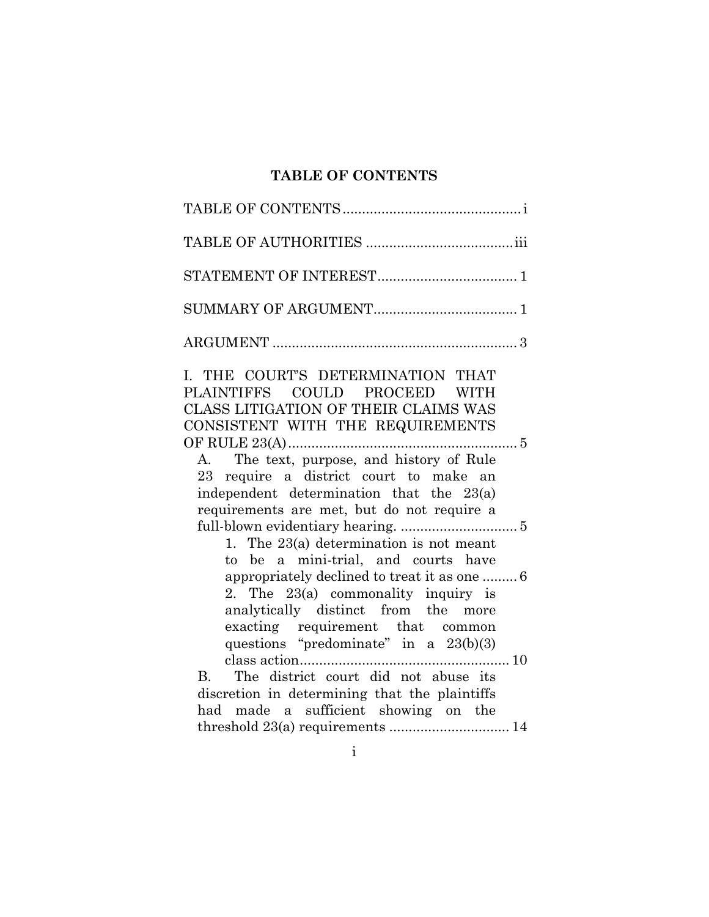# **TABLE OF CONTENTS**

| I. THE COURT'S DETERMINATION THAT<br>PLAINTIFFS COULD PROCEED WITH<br>CLASS LITIGATION OF THEIR CLAIMS WAS<br>CONSISTENT WITH THE REQUIREMENTS<br>The text, purpose, and history of Rule<br>$A_{\cdot}$<br>23 require a district court to make an<br>independent determination that the 23(a)<br>requirements are met, but do not require a<br>1. The $23(a)$ determination is not meant<br>to be a mini-trial, and courts have<br>appropriately declined to treat it as one  6<br>2. The $23(a)$ commonality inquiry is |
|--------------------------------------------------------------------------------------------------------------------------------------------------------------------------------------------------------------------------------------------------------------------------------------------------------------------------------------------------------------------------------------------------------------------------------------------------------------------------------------------------------------------------|
| analytically distinct from the more<br>exacting requirement that common<br>questions "predominate" in a 23(b)(3)<br>The district court did not abuse its<br><b>B.</b><br>discretion in determining that the plaintiffs<br>had made a sufficient showing on the<br>threshold 23(a) requirements  14                                                                                                                                                                                                                       |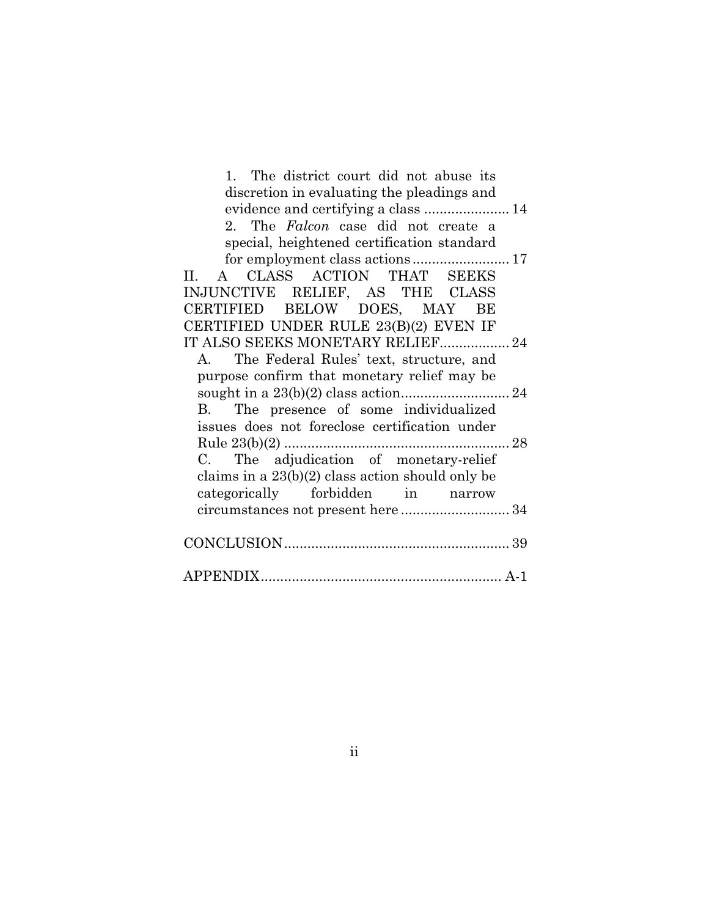1. The district court did not abuse its discretion in evaluating the pleadings and evidence and certifying a class ...................... 14 2. The *Falcon* case did not create a special, heightened certification standard for employment class actions ......................... 17 II. A CLASS ACTION THAT SEEKS INJUNCTIVE RELIEF, AS THE CLASS CERTIFIED BELOW DOES, MAY BE CERTIFIED UNDER RULE 23(B)(2) EVEN IF IT ALSO SEEKS MONETARY RELIEF.................. 24 A. The Federal Rules' text, structure, and purpose confirm that monetary relief may be sought in a 23(b)(2) class action ............................ 24 B. The presence of some individualized issues does not foreclose certification under Rule 23(b)(2) .......................................................... 28 C. The adjudication of monetary-relief claims in a 23(b)(2) class action should only be categorically forbidden in narrow circumstances not present here ............................ 34 CONCLUSION .......................................................... 39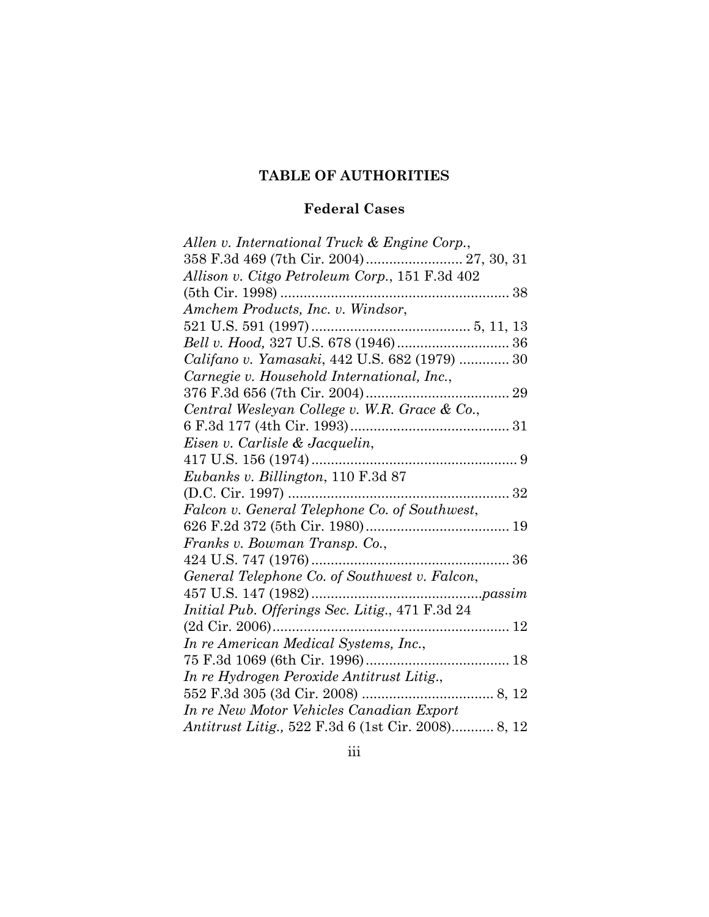# **TABLE OF AUTHORITIES**

# **Federal Cases**

| Allen v. International Truck & Engine Corp.,       |
|----------------------------------------------------|
|                                                    |
| Allison v. Citgo Petroleum Corp., 151 F.3d 402     |
|                                                    |
| Amchem Products, Inc. v. Windsor,                  |
|                                                    |
| Bell v. Hood, 327 U.S. 678 (1946) 36               |
| Califano v. Yamasaki, 442 U.S. 682 (1979)  30      |
| Carnegie v. Household International, Inc.,         |
|                                                    |
| Central Wesleyan College v. W.R. Grace & Co.,      |
|                                                    |
| Eisen v. Carlisle & Jacquelin,                     |
|                                                    |
| $\it Eubanks$ v. Billington, 110 $\rm F.3d$ 87     |
|                                                    |
| Falcon v. General Telephone Co. of Southwest,      |
|                                                    |
| Franks v. Bowman Transp. Co.,                      |
|                                                    |
| General Telephone Co. of Southwest v. Falcon,      |
|                                                    |
| Initial Pub. Offerings Sec. Litig., 471 F.3d 24    |
| $(2d$ Cir. 2006)                                   |
| In re American Medical Systems, Inc.,              |
|                                                    |
| In re Hydrogen Peroxide Antitrust Litig.,          |
|                                                    |
| In re New Motor Vehicles Canadian Export           |
| Antitrust Litig., 522 F.3d 6 (1st Cir. 2008) 8, 12 |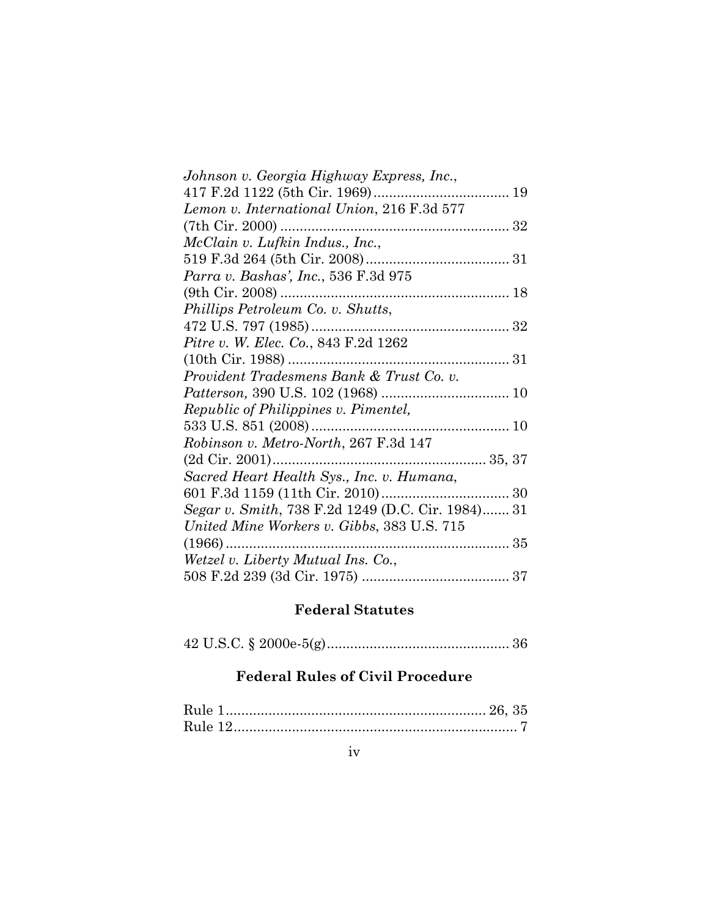| Johnson v. Georgia Highway Express, Inc.,         |
|---------------------------------------------------|
| 417 F.2d 1122 (5th Cir. 1969)<br>19<br>.          |
| Lemon v. International Union, 216 F.3d 577        |
| $(7th$ Cir. 2000)                                 |
| McClain v. Lufkin Indus., Inc.,                   |
|                                                   |
| Parra v. Bashas', Inc., 536 F.3d 975              |
|                                                   |
| Phillips Petroleum Co. v. Shutts,                 |
| 472 U.S. 797 (1985)                               |
| <i>Pitre v. W. Elec. Co.</i> , 843 F.2d 1262      |
|                                                   |
| Provident Tradesmens Bank & Trust Co. v.          |
|                                                   |
| <i>Republic of Philippines v. Pimentel,</i>       |
| 533 U.S. $851(2008)$                              |
| Robinson v. Metro-North, 267 F.3d 147             |
| 35, 37<br>$(2d$ Cir. $2001)$                      |
| Sacred Heart Health Sys., Inc. v. Humana,         |
|                                                   |
| Segar v. Smith, 738 F.2d 1249 (D.C. Cir. 1984) 31 |
| United Mine Workers v. Gibbs, 383 U.S. 715        |
| (1966).<br>35                                     |
| Wetzel v. Liberty Mutual Ins. Co.,                |
|                                                   |

# **Federal Statutes**

42 U.S.C. § 2000e-5(g) ............................................... 36

# **Federal Rules of Civil Procedure**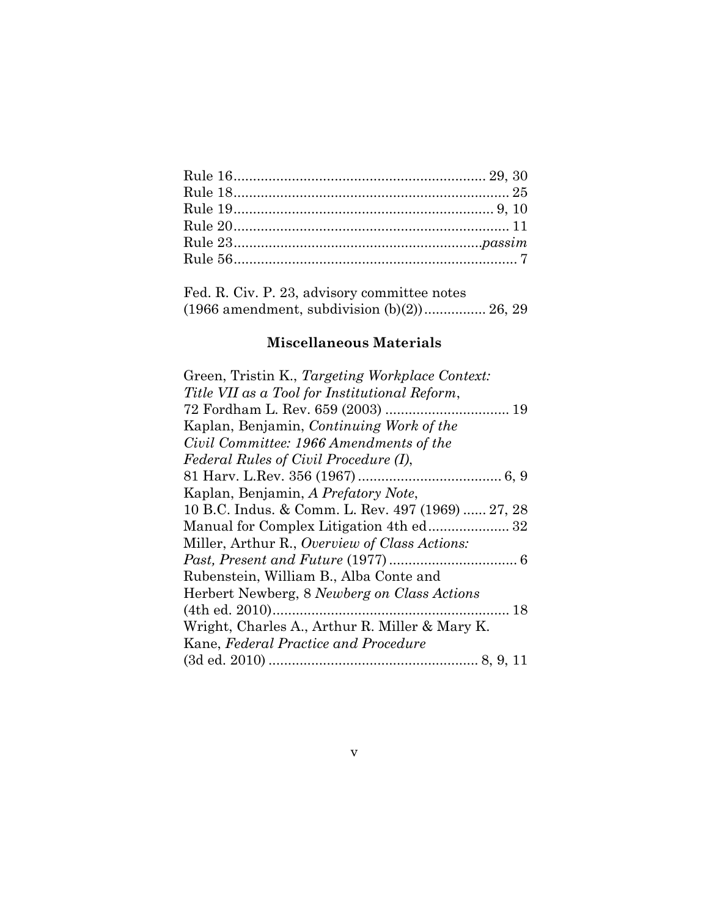| Fed. R. Civ. P. 23, advisory committee notes   |  |
|------------------------------------------------|--|
| $(1966$ amendment, subdivision $(b)(2)$ 26, 29 |  |

# **Miscellaneous Materials**

| Green, Tristin K., Targeting Workplace Context:   |
|---------------------------------------------------|
| Title VII as a Tool for Institutional Reform,     |
|                                                   |
| Kaplan, Benjamin, Continuing Work of the          |
| Civil Committee: 1966 Amendments of the           |
| Federal Rules of Civil Procedure (I),             |
|                                                   |
| Kaplan, Benjamin, A Prefatory Note,               |
| 10 B.C. Indus. & Comm. L. Rev. 497 (1969)  27, 28 |
|                                                   |
| Miller, Arthur R., Overview of Class Actions:     |
|                                                   |
| Rubenstein, William B., Alba Conte and            |
| Herbert Newberg, 8 Newberg on Class Actions       |
|                                                   |
| Wright, Charles A., Arthur R. Miller & Mary K.    |
| Kane, Federal Practice and Procedure              |
|                                                   |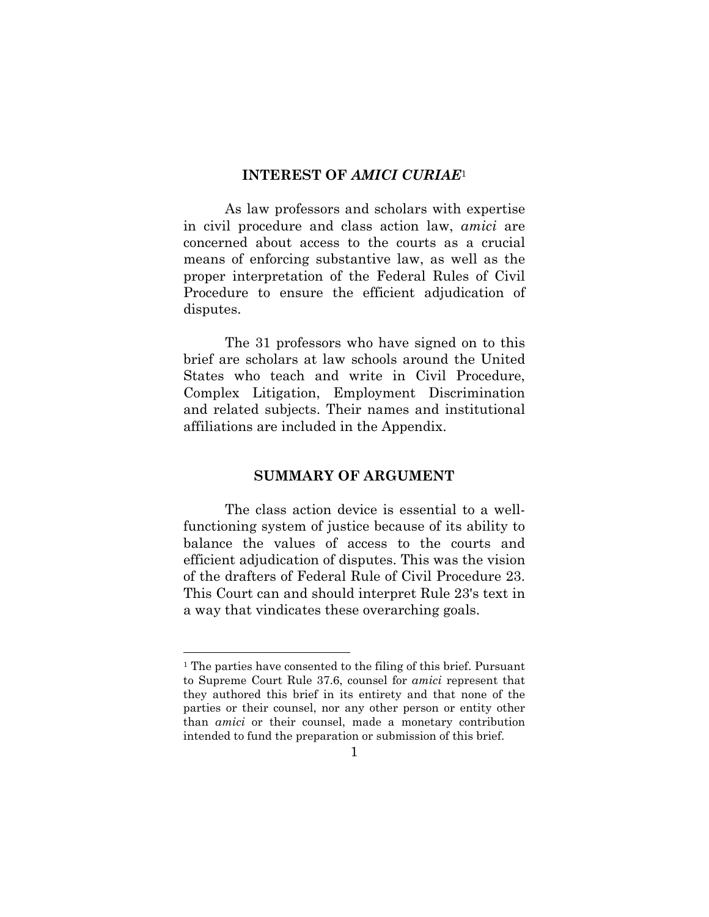### **INTEREST OF** *AMICI CURIAE*<sup>1</sup>

As law professors and scholars with expertise in civil procedure and class action law, *amici* are concerned about access to the courts as a crucial means of enforcing substantive law, as well as the proper interpretation of the Federal Rules of Civil Procedure to ensure the efficient adjudication of disputes.

The 31 professors who have signed on to this brief are scholars at law schools around the United States who teach and write in Civil Procedure, Complex Litigation, Employment Discrimination and related subjects. Their names and institutional affiliations are included in the Appendix.

### **SUMMARY OF ARGUMENT**

The class action device is essential to a wellfunctioning system of justice because of its ability to balance the values of access to the courts and efficient adjudication of disputes. This was the vision of the drafters of Federal Rule of Civil Procedure 23. This Court can and should interpret Rule 23's text in a way that vindicates these overarching goals.

<sup>1</sup> The parties have consented to the filing of this brief. Pursuant to Supreme Court Rule 37.6, counsel for *amici* represent that they authored this brief in its entirety and that none of the parties or their counsel, nor any other person or entity other than *amici* or their counsel, made a monetary contribution intended to fund the preparation or submission of this brief.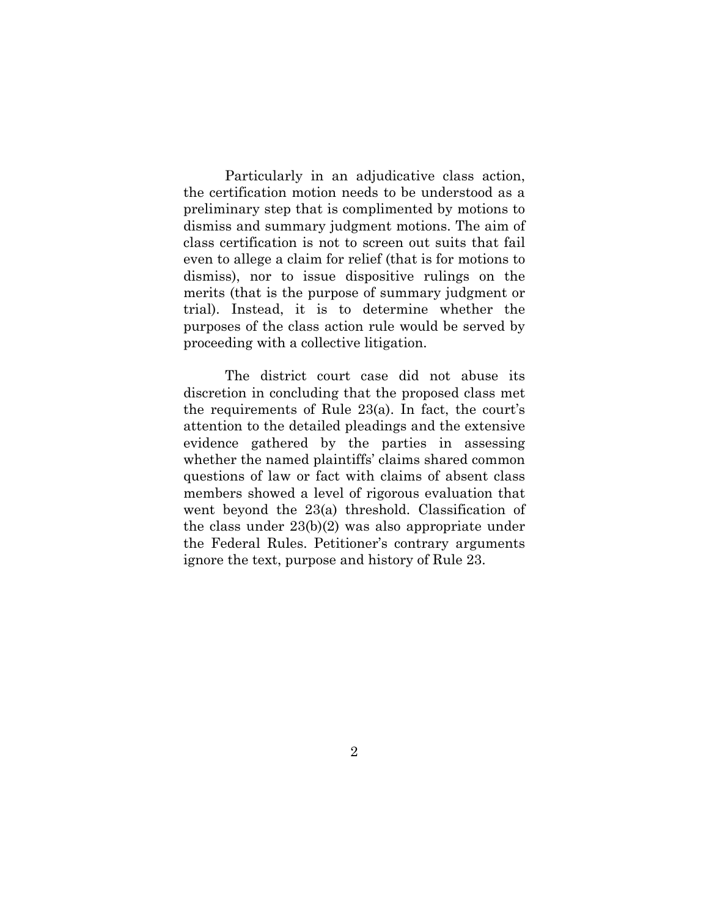Particularly in an adjudicative class action, the certification motion needs to be understood as a preliminary step that is complimented by motions to dismiss and summary judgment motions. The aim of class certification is not to screen out suits that fail even to allege a claim for relief (that is for motions to dismiss), nor to issue dispositive rulings on the merits (that is the purpose of summary judgment or trial). Instead, it is to determine whether the purposes of the class action rule would be served by proceeding with a collective litigation.

The district court case did not abuse its discretion in concluding that the proposed class met the requirements of Rule 23(a). In fact, the court's attention to the detailed pleadings and the extensive evidence gathered by the parties in assessing whether the named plaintiffs' claims shared common questions of law or fact with claims of absent class members showed a level of rigorous evaluation that went beyond the 23(a) threshold. Classification of the class under 23(b)(2) was also appropriate under the Federal Rules. Petitioner's contrary arguments ignore the text, purpose and history of Rule 23.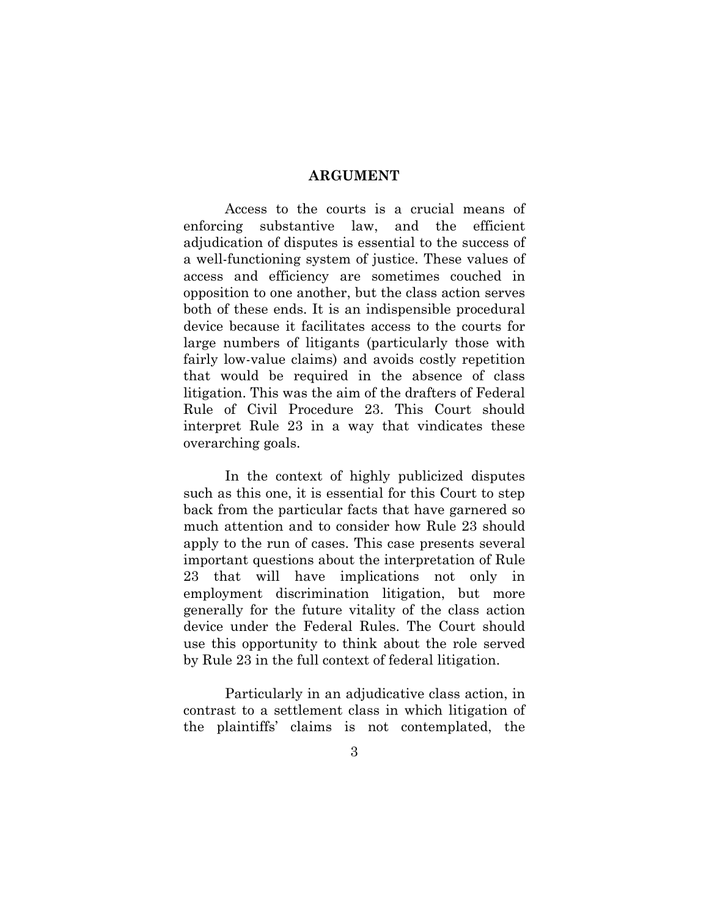### **ARGUMENT**

Access to the courts is a crucial means of enforcing substantive law, and the efficient adjudication of disputes is essential to the success of a well-functioning system of justice. These values of access and efficiency are sometimes couched in opposition to one another, but the class action serves both of these ends. It is an indispensible procedural device because it facilitates access to the courts for large numbers of litigants (particularly those with fairly low-value claims) and avoids costly repetition that would be required in the absence of class litigation. This was the aim of the drafters of Federal Rule of Civil Procedure 23. This Court should interpret Rule 23 in a way that vindicates these overarching goals.

In the context of highly publicized disputes such as this one, it is essential for this Court to step back from the particular facts that have garnered so much attention and to consider how Rule 23 should apply to the run of cases. This case presents several important questions about the interpretation of Rule 23 that will have implications not only in employment discrimination litigation, but more generally for the future vitality of the class action device under the Federal Rules. The Court should use this opportunity to think about the role served by Rule 23 in the full context of federal litigation.

Particularly in an adjudicative class action, in contrast to a settlement class in which litigation of the plaintiffs' claims is not contemplated, the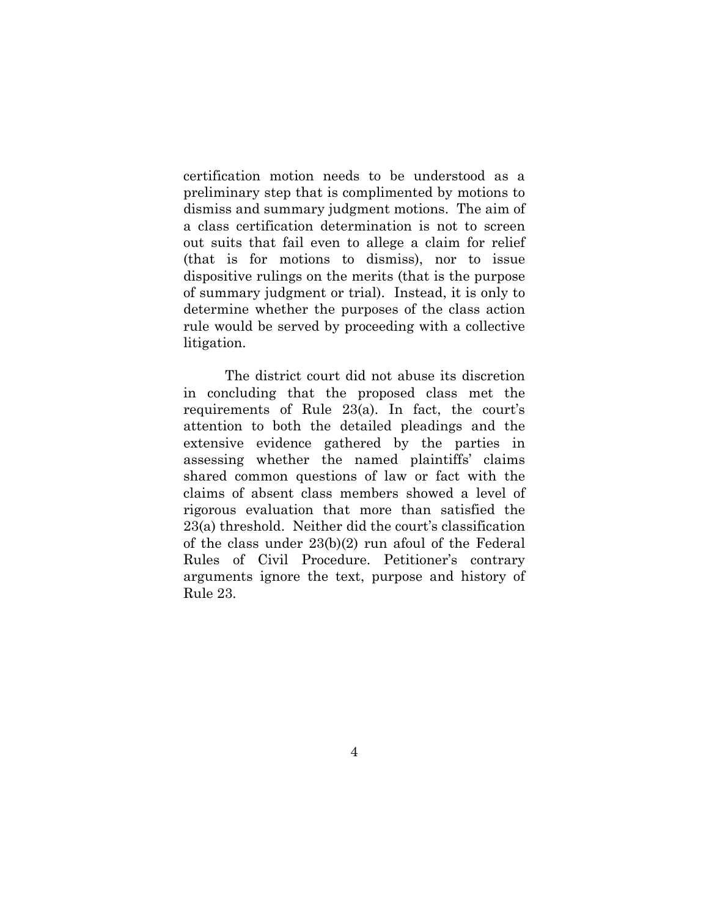certification motion needs to be understood as a preliminary step that is complimented by motions to dismiss and summary judgment motions. The aim of a class certification determination is not to screen out suits that fail even to allege a claim for relief (that is for motions to dismiss), nor to issue dispositive rulings on the merits (that is the purpose of summary judgment or trial). Instead, it is only to determine whether the purposes of the class action rule would be served by proceeding with a collective litigation.

The district court did not abuse its discretion in concluding that the proposed class met the requirements of Rule 23(a). In fact, the court's attention to both the detailed pleadings and the extensive evidence gathered by the parties in assessing whether the named plaintiffs' claims shared common questions of law or fact with the claims of absent class members showed a level of rigorous evaluation that more than satisfied the 23(a) threshold. Neither did the court's classification of the class under 23(b)(2) run afoul of the Federal Rules of Civil Procedure. Petitioner's contrary arguments ignore the text, purpose and history of Rule 23.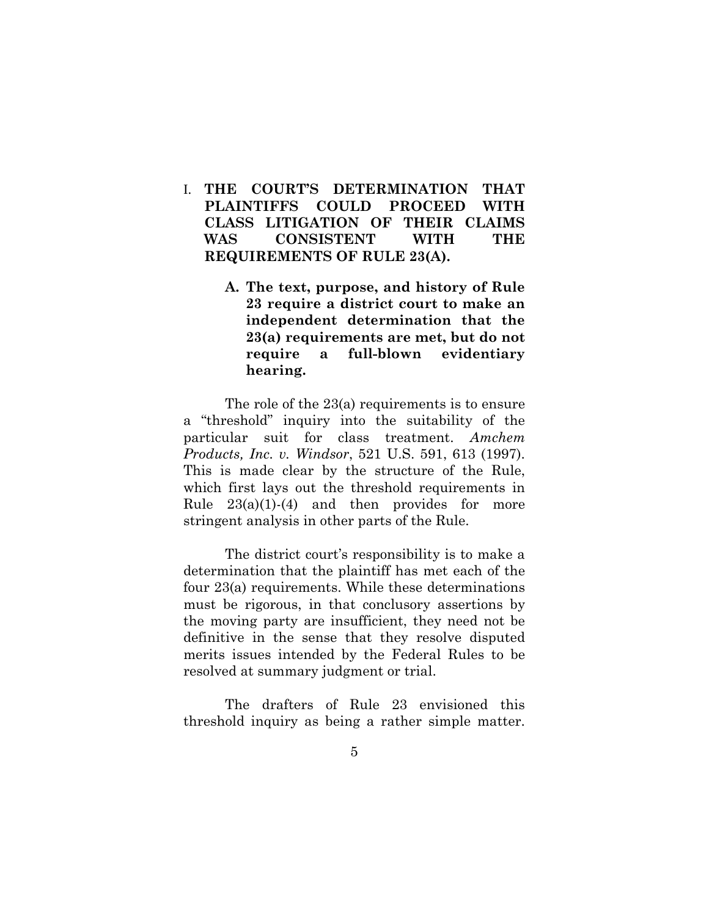- I. **THE COURT'S DETERMINATION THAT PLAINTIFFS COULD PROCEED WITH CLASS LITIGATION OF THEIR CLAIMS WAS CONSISTENT WITH THE REQUIREMENTS OF RULE 23(A).** 
	- **A. The text, purpose, and history of Rule 23 require a district court to make an independent determination that the 23(a) requirements are met, but do not require a full-blown evidentiary hearing.**

The role of the 23(a) requirements is to ensure a "threshold" inquiry into the suitability of the particular suit for class treatment. *Amchem Products, Inc. v. Windsor*, 521 U.S. 591, 613 (1997). This is made clear by the structure of the Rule, which first lays out the threshold requirements in Rule  $23(a)(1)-(4)$  and then provides for more stringent analysis in other parts of the Rule.

The district court's responsibility is to make a determination that the plaintiff has met each of the four 23(a) requirements. While these determinations must be rigorous, in that conclusory assertions by the moving party are insufficient, they need not be definitive in the sense that they resolve disputed merits issues intended by the Federal Rules to be resolved at summary judgment or trial.

The drafters of Rule 23 envisioned this threshold inquiry as being a rather simple matter.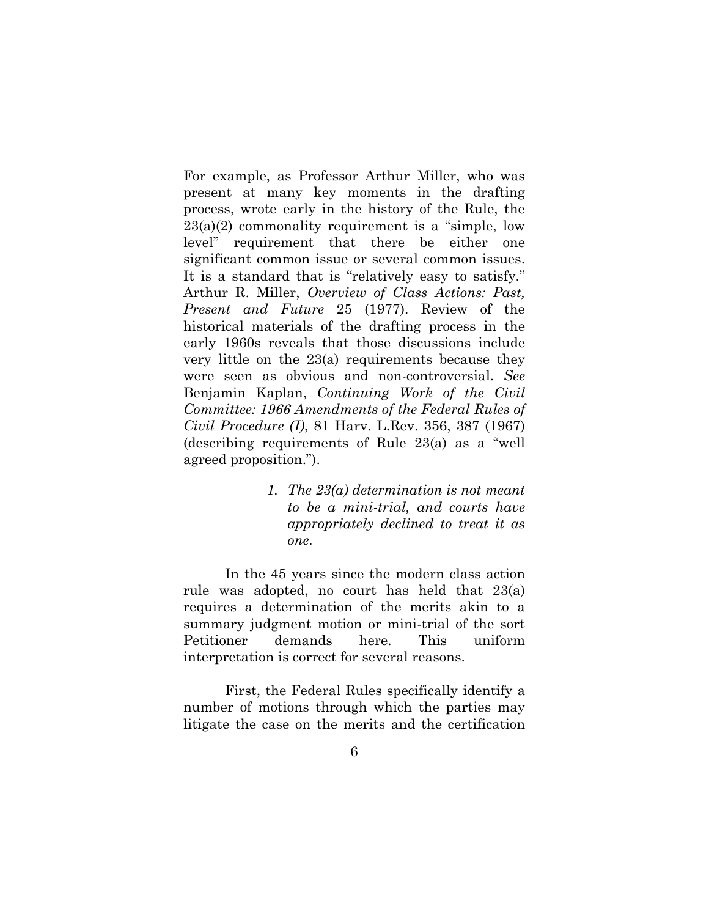For example, as Professor Arthur Miller, who was present at many key moments in the drafting process, wrote early in the history of the Rule, the  $23(a)(2)$  commonality requirement is a "simple, low level" requirement that there be either one significant common issue or several common issues. It is a standard that is "relatively easy to satisfy." Arthur R. Miller, *Overview of Class Actions: Past, Present and Future* 25 (1977). Review of the historical materials of the drafting process in the early 1960s reveals that those discussions include very little on the 23(a) requirements because they were seen as obvious and non-controversial. *See* Benjamin Kaplan, *Continuing Work of the Civil Committee: 1966 Amendments of the Federal Rules of Civil Procedure (I)*, 81 Harv. L.Rev. 356, 387 (1967) (describing requirements of Rule 23(a) as a "well agreed proposition.").

> *1. The 23(a) determination is not meant to be a mini-trial, and courts have appropriately declined to treat it as one.*

In the 45 years since the modern class action rule was adopted, no court has held that 23(a) requires a determination of the merits akin to a summary judgment motion or mini-trial of the sort Petitioner demands here. This uniform interpretation is correct for several reasons.

First, the Federal Rules specifically identify a number of motions through which the parties may litigate the case on the merits and the certification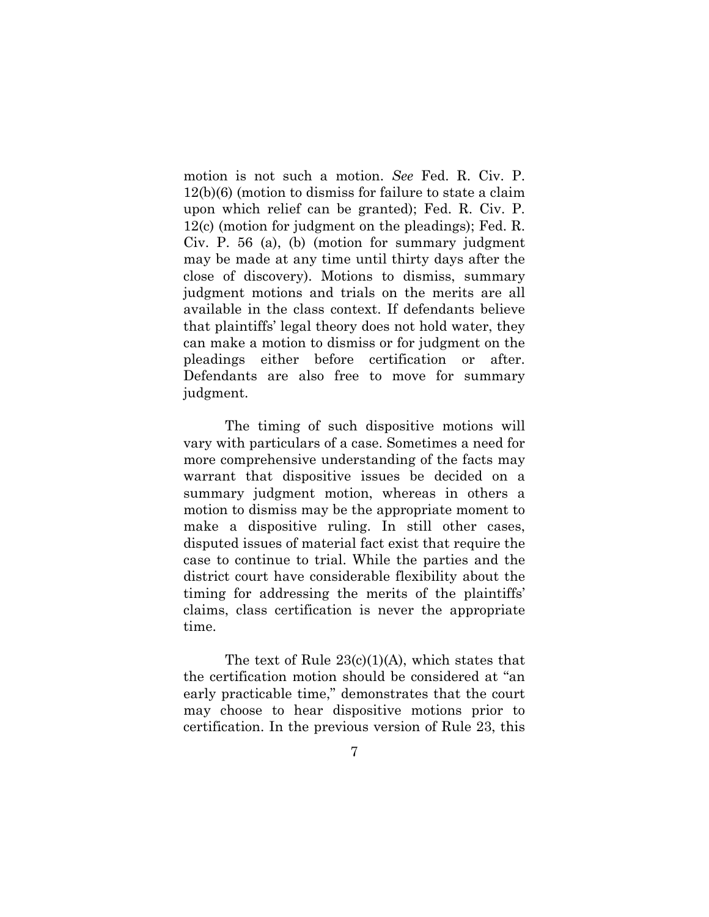motion is not such a motion. *See* Fed. R. Civ. P. 12(b)(6) (motion to dismiss for failure to state a claim upon which relief can be granted); Fed. R. Civ. P. 12(c) (motion for judgment on the pleadings); Fed. R. Civ. P. 56 (a), (b) (motion for summary judgment may be made at any time until thirty days after the close of discovery). Motions to dismiss, summary judgment motions and trials on the merits are all available in the class context. If defendants believe that plaintiffs' legal theory does not hold water, they can make a motion to dismiss or for judgment on the pleadings either before certification or after. Defendants are also free to move for summary judgment.

The timing of such dispositive motions will vary with particulars of a case. Sometimes a need for more comprehensive understanding of the facts may warrant that dispositive issues be decided on a summary judgment motion, whereas in others a motion to dismiss may be the appropriate moment to make a dispositive ruling. In still other cases, disputed issues of material fact exist that require the case to continue to trial. While the parties and the district court have considerable flexibility about the timing for addressing the merits of the plaintiffs' claims, class certification is never the appropriate time.

The text of Rule  $23(c)(1)(A)$ , which states that the certification motion should be considered at "an early practicable time," demonstrates that the court may choose to hear dispositive motions prior to certification. In the previous version of Rule 23, this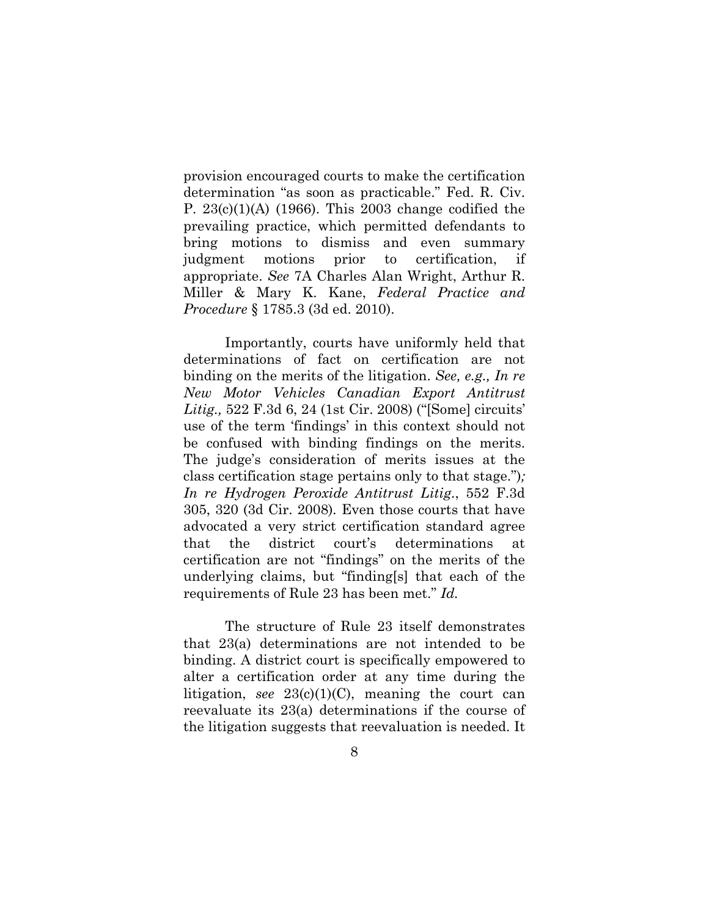provision encouraged courts to make the certification determination "as soon as practicable." Fed. R. Civ. P. 23(c)(1)(A) (1966). This 2003 change codified the prevailing practice, which permitted defendants to bring motions to dismiss and even summary judgment motions prior to certification, if appropriate. *See* 7A Charles Alan Wright, Arthur R. Miller & Mary K. Kane, *Federal Practice and Procedure* § 1785.3 (3d ed. 2010).

Importantly, courts have uniformly held that determinations of fact on certification are not binding on the merits of the litigation. *See, e.g., In re New Motor Vehicles Canadian Export Antitrust Litig.,* 522 F.3d 6, 24 (1st Cir. 2008) ("[Some] circuits' use of the term 'findings' in this context should not be confused with binding findings on the merits. The judge's consideration of merits issues at the class certification stage pertains only to that stage.")*; In re Hydrogen Peroxide Antitrust Litig*., 552 F.3d 305, 320 (3d Cir. 2008)*.* Even those courts that have advocated a very strict certification standard agree that the district court's determinations at certification are not "findings" on the merits of the underlying claims, but "finding[s] that each of the requirements of Rule 23 has been met." *Id.* 

The structure of Rule 23 itself demonstrates that 23(a) determinations are not intended to be binding. A district court is specifically empowered to alter a certification order at any time during the litigation, *see*  $23(c)(1)(C)$ , meaning the court can reevaluate its 23(a) determinations if the course of the litigation suggests that reevaluation is needed. It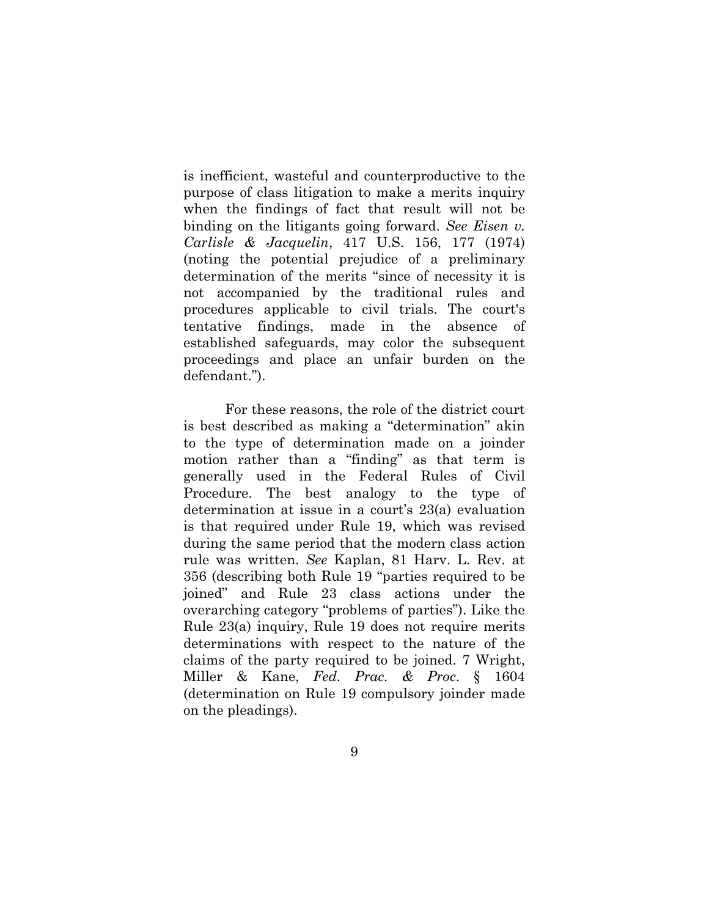is inefficient, wasteful and counterproductive to the purpose of class litigation to make a merits inquiry when the findings of fact that result will not be binding on the litigants going forward. *See Eisen v. Carlisle & Jacquelin*, 417 U.S. 156, 177 (1974) (noting the potential prejudice of a preliminary determination of the merits "since of necessity it is not accompanied by the traditional rules and procedures applicable to civil trials. The court's tentative findings, made in the absence of established safeguards, may color the subsequent proceedings and place an unfair burden on the defendant.").

For these reasons, the role of the district court is best described as making a "determination" akin to the type of determination made on a joinder motion rather than a "finding" as that term is generally used in the Federal Rules of Civil Procedure. The best analogy to the type of determination at issue in a court's 23(a) evaluation is that required under Rule 19, which was revised during the same period that the modern class action rule was written. *See* Kaplan, 81 Harv. L. Rev. at 356 (describing both Rule 19 "parties required to be joined" and Rule 23 class actions under the overarching category "problems of parties"). Like the Rule 23(a) inquiry, Rule 19 does not require merits determinations with respect to the nature of the claims of the party required to be joined. 7 Wright, Miller & Kane, *Fed. Prac. & Proc*. § 1604 (determination on Rule 19 compulsory joinder made on the pleadings).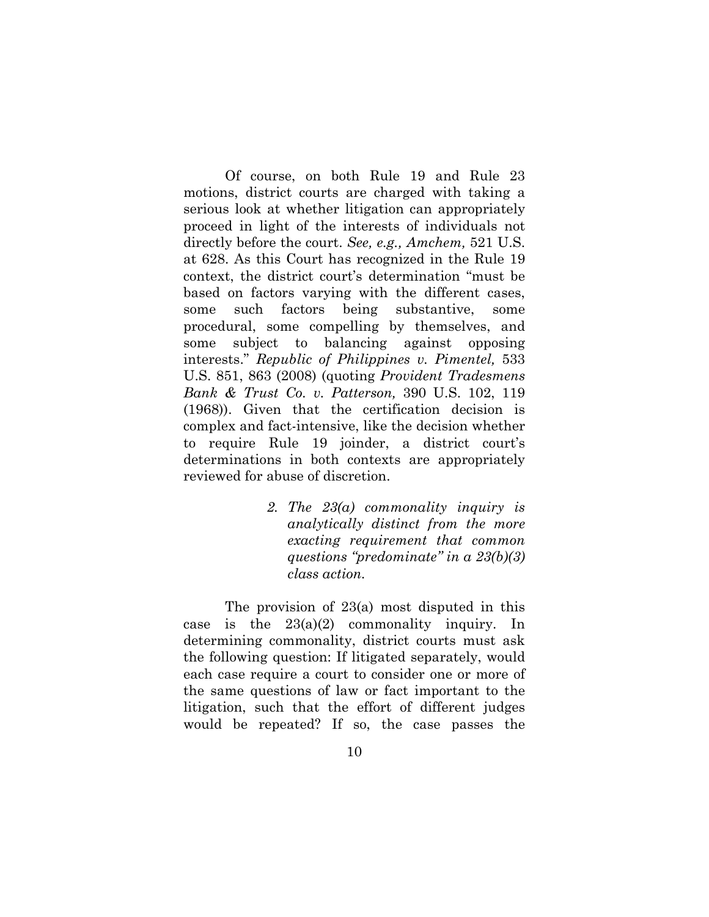Of course, on both Rule 19 and Rule 23 motions, district courts are charged with taking a serious look at whether litigation can appropriately proceed in light of the interests of individuals not directly before the court. *See, e.g., Amchem,* 521 U.S. at 628. As this Court has recognized in the Rule 19 context, the district court's determination "must be based on factors varying with the different cases, some such factors being substantive, some procedural, some compelling by themselves, and some subject to balancing against opposing interests." *Republic of Philippines v. Pimentel,* 533 U.S. 851, 863 (2008) (quoting *Provident Tradesmens Bank & Trust Co. v. Patterson,* 390 U.S. 102, 119 (1968)). Given that the certification decision is complex and fact-intensive, like the decision whether to require Rule 19 joinder, a district court's determinations in both contexts are appropriately reviewed for abuse of discretion.

> *2. The 23(a) commonality inquiry is analytically distinct from the more exacting requirement that common questions "predominate" in a 23(b)(3) class action.*

The provision of 23(a) most disputed in this case is the  $23(a)(2)$  commonality inquiry. In determining commonality, district courts must ask the following question: If litigated separately, would each case require a court to consider one or more of the same questions of law or fact important to the litigation, such that the effort of different judges would be repeated? If so, the case passes the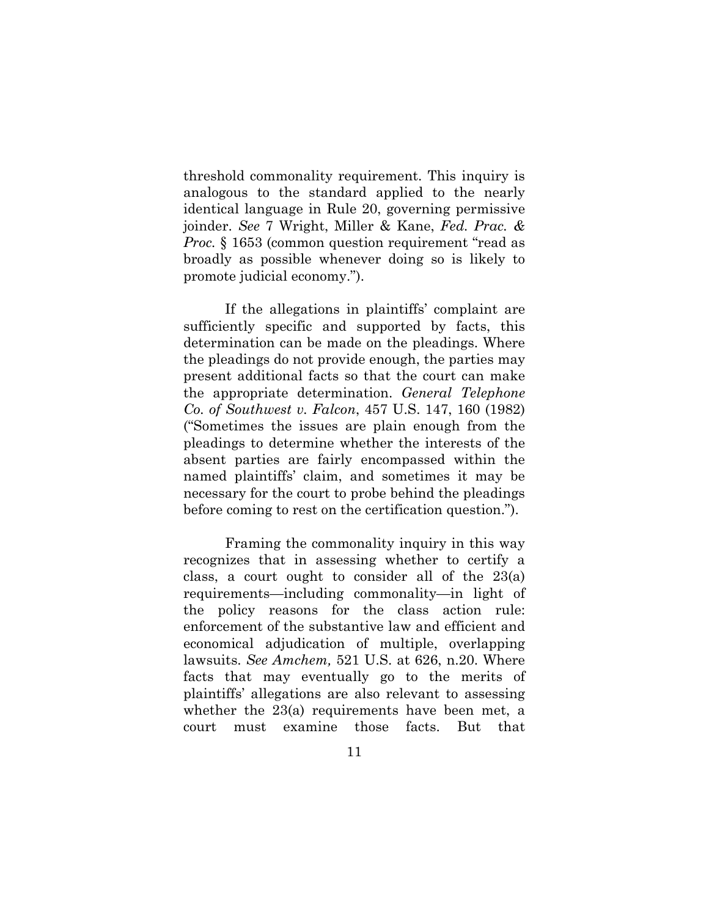threshold commonality requirement. This inquiry is analogous to the standard applied to the nearly identical language in Rule 20, governing permissive joinder. *See* 7 Wright, Miller & Kane, *Fed. Prac. & Proc.* § 1653 (common question requirement "read as broadly as possible whenever doing so is likely to promote judicial economy.").

If the allegations in plaintiffs' complaint are sufficiently specific and supported by facts, this determination can be made on the pleadings. Where the pleadings do not provide enough, the parties may present additional facts so that the court can make the appropriate determination. *General Telephone Co. of Southwest v. Falcon*, 457 U.S. 147, 160 (1982) ("Sometimes the issues are plain enough from the pleadings to determine whether the interests of the absent parties are fairly encompassed within the named plaintiffs' claim, and sometimes it may be necessary for the court to probe behind the pleadings before coming to rest on the certification question.").

Framing the commonality inquiry in this way recognizes that in assessing whether to certify a class, a court ought to consider all of the 23(a) requirements—including commonality—in light of the policy reasons for the class action rule: enforcement of the substantive law and efficient and economical adjudication of multiple, overlapping lawsuits. *See Amchem,* 521 U.S. at 626, n.20. Where facts that may eventually go to the merits of plaintiffs' allegations are also relevant to assessing whether the 23(a) requirements have been met, a court must examine those facts. But that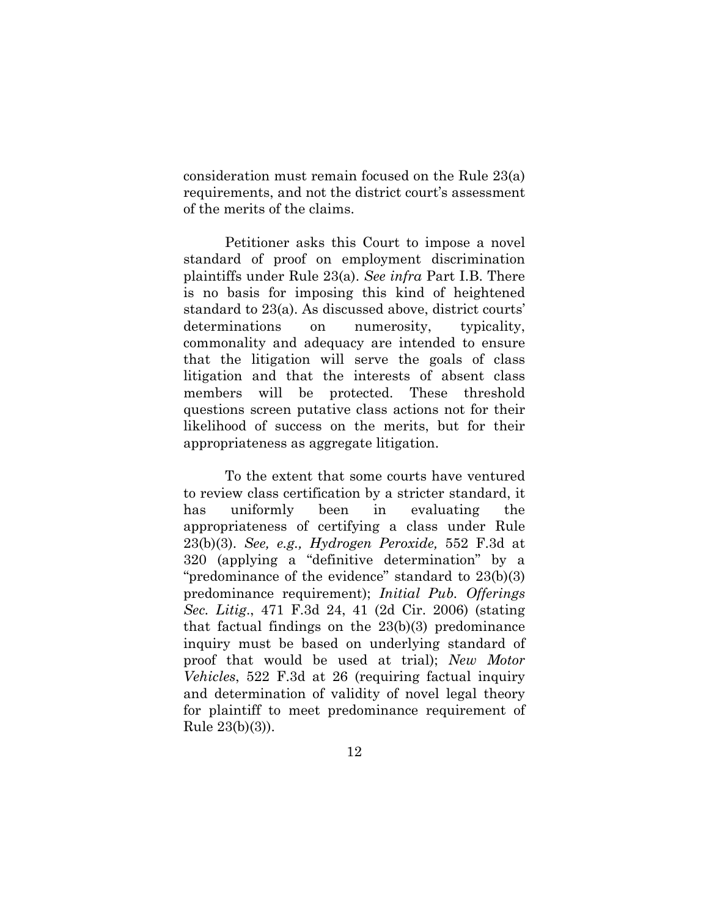consideration must remain focused on the Rule 23(a) requirements, and not the district court's assessment of the merits of the claims.

Petitioner asks this Court to impose a novel standard of proof on employment discrimination plaintiffs under Rule 23(a). *See infra* Part I.B. There is no basis for imposing this kind of heightened standard to 23(a). As discussed above, district courts' determinations on numerosity, typicality, commonality and adequacy are intended to ensure that the litigation will serve the goals of class litigation and that the interests of absent class members will be protected. These threshold questions screen putative class actions not for their likelihood of success on the merits, but for their appropriateness as aggregate litigation.

To the extent that some courts have ventured to review class certification by a stricter standard, it has uniformly been in evaluating the appropriateness of certifying a class under Rule 23(b)(3). *See, e.g., Hydrogen Peroxide,* 552 F.3d at 320 (applying a "definitive determination" by a "predominance of the evidence" standard to 23(b)(3) predominance requirement); *Initial Pub. Offerings Sec. Litig*., 471 F.3d 24, 41 (2d Cir. 2006) (stating that factual findings on the 23(b)(3) predominance inquiry must be based on underlying standard of proof that would be used at trial); *New Motor Vehicles*, 522 F.3d at 26 (requiring factual inquiry and determination of validity of novel legal theory for plaintiff to meet predominance requirement of Rule 23(b)(3)).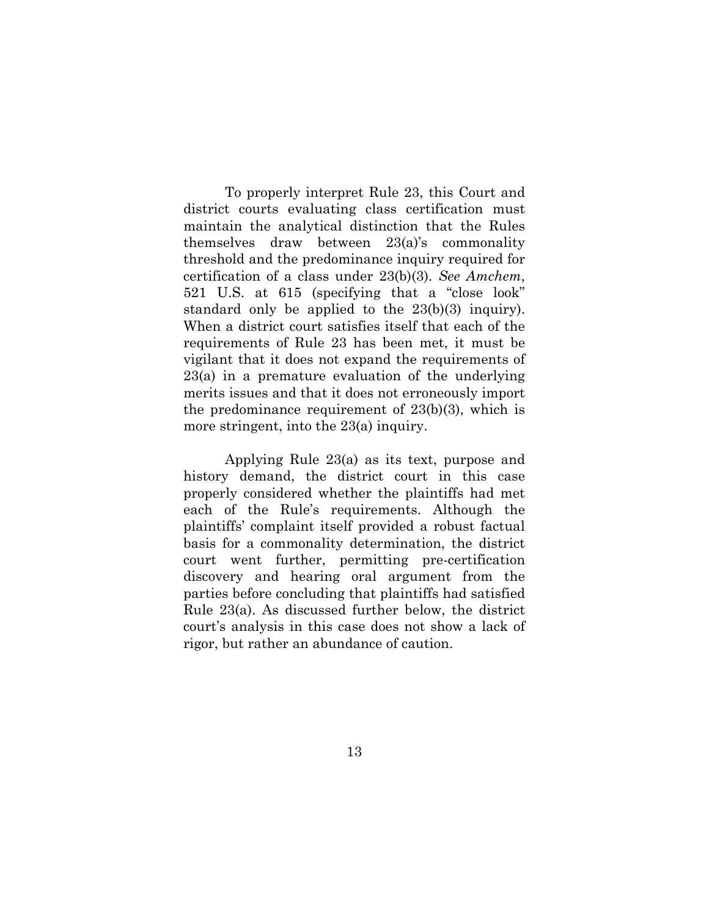To properly interpret Rule 23, this Court and district courts evaluating class certification must maintain the analytical distinction that the Rules themselves draw between 23(a)'s commonality threshold and the predominance inquiry required for certification of a class under 23(b)(3). *See Amchem*, 521 U.S. at 615 (specifying that a "close look" standard only be applied to the 23(b)(3) inquiry). When a district court satisfies itself that each of the requirements of Rule 23 has been met, it must be vigilant that it does not expand the requirements of 23(a) in a premature evaluation of the underlying merits issues and that it does not erroneously import the predominance requirement of 23(b)(3), which is more stringent, into the 23(a) inquiry.

 Applying Rule 23(a) as its text, purpose and history demand, the district court in this case properly considered whether the plaintiffs had met each of the Rule's requirements. Although the plaintiffs' complaint itself provided a robust factual basis for a commonality determination, the district court went further, permitting pre-certification discovery and hearing oral argument from the parties before concluding that plaintiffs had satisfied Rule 23(a). As discussed further below, the district court's analysis in this case does not show a lack of rigor, but rather an abundance of caution.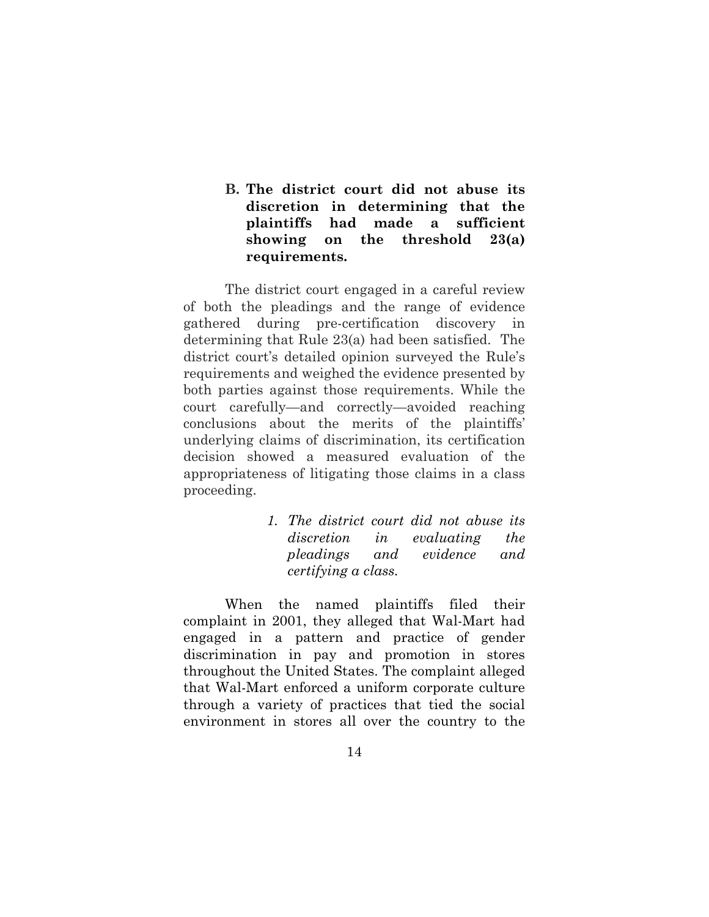## **B. The district court did not abuse its discretion in determining that the plaintiffs had made a sufficient showing on the threshold 23(a) requirements.**

The district court engaged in a careful review of both the pleadings and the range of evidence gathered during pre-certification discovery in determining that Rule 23(a) had been satisfied. The district court's detailed opinion surveyed the Rule's requirements and weighed the evidence presented by both parties against those requirements. While the court carefully—and correctly—avoided reaching conclusions about the merits of the plaintiffs' underlying claims of discrimination, its certification decision showed a measured evaluation of the appropriateness of litigating those claims in a class proceeding.

> *1. The district court did not abuse its discretion in evaluating the pleadings and evidence and certifying a class.*

When the named plaintiffs filed their complaint in 2001, they alleged that Wal-Mart had engaged in a pattern and practice of gender discrimination in pay and promotion in stores throughout the United States. The complaint alleged that Wal-Mart enforced a uniform corporate culture through a variety of practices that tied the social environment in stores all over the country to the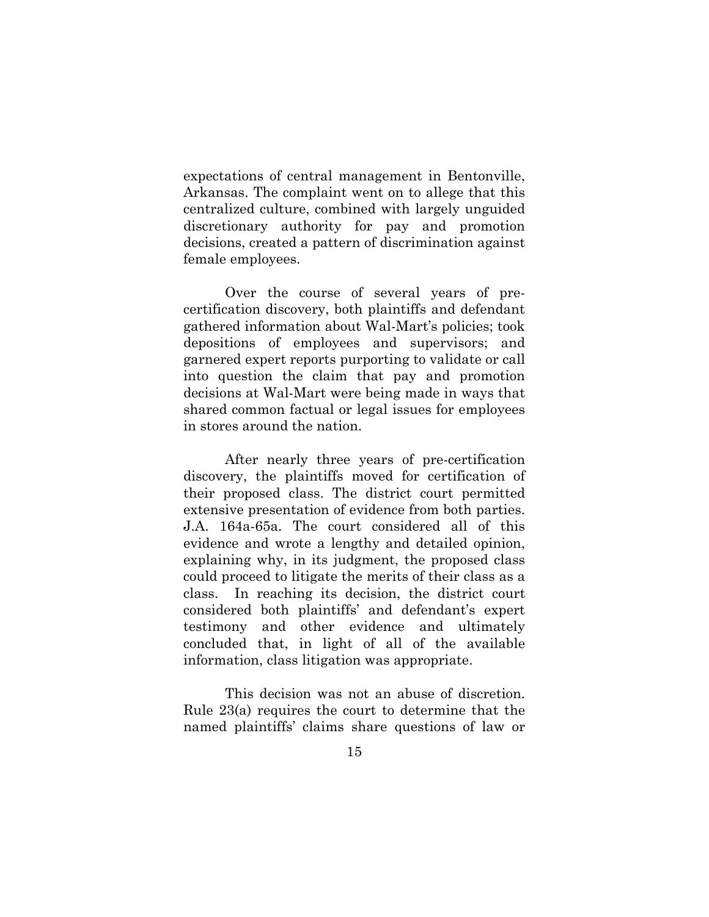expectations of central management in Bentonville, Arkansas. The complaint went on to allege that this centralized culture, combined with largely unguided discretionary authority for pay and promotion decisions, created a pattern of discrimination against female employees.

Over the course of several years of precertification discovery, both plaintiffs and defendant gathered information about Wal-Mart's policies; took depositions of employees and supervisors; and garnered expert reports purporting to validate or call into question the claim that pay and promotion decisions at Wal-Mart were being made in ways that shared common factual or legal issues for employees in stores around the nation.

After nearly three years of pre-certification discovery, the plaintiffs moved for certification of their proposed class. The district court permitted extensive presentation of evidence from both parties. J.A. 164a-65a. The court considered all of this evidence and wrote a lengthy and detailed opinion, explaining why, in its judgment, the proposed class could proceed to litigate the merits of their class as a class. In reaching its decision, the district court considered both plaintiffs' and defendant's expert testimony and other evidence and ultimately concluded that, in light of all of the available information, class litigation was appropriate.

This decision was not an abuse of discretion. Rule 23(a) requires the court to determine that the named plaintiffs' claims share questions of law or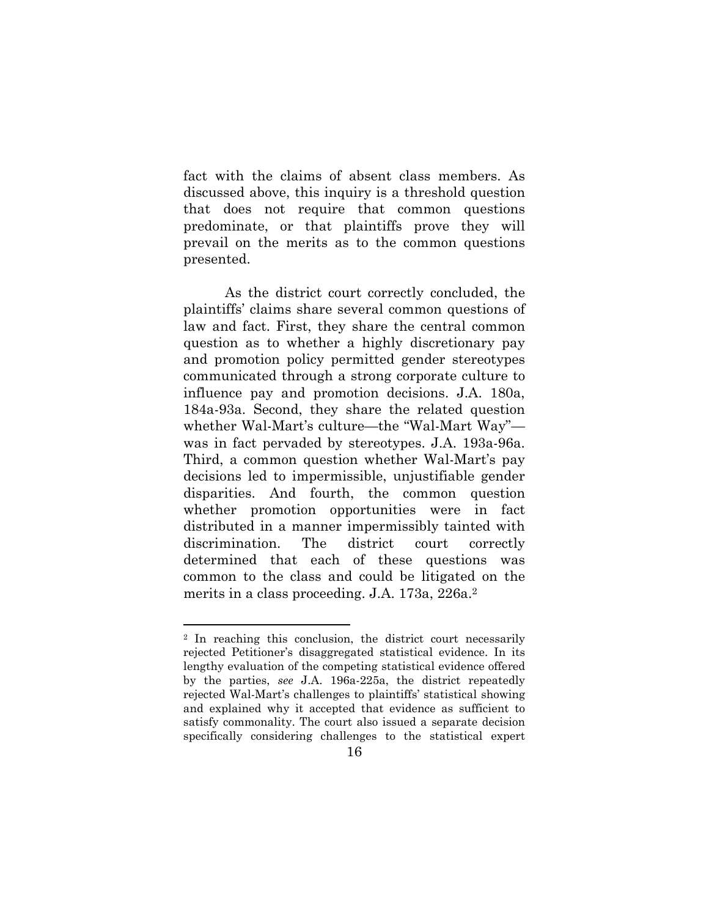fact with the claims of absent class members. As discussed above, this inquiry is a threshold question that does not require that common questions predominate, or that plaintiffs prove they will prevail on the merits as to the common questions presented.

As the district court correctly concluded, the plaintiffs' claims share several common questions of law and fact. First, they share the central common question as to whether a highly discretionary pay and promotion policy permitted gender stereotypes communicated through a strong corporate culture to influence pay and promotion decisions. J.A. 180a, 184a-93a. Second, they share the related question whether Wal-Mart's culture—the "Wal-Mart Way" was in fact pervaded by stereotypes. J.A. 193a-96a. Third, a common question whether Wal-Mart's pay decisions led to impermissible, unjustifiable gender disparities. And fourth, the common question whether promotion opportunities were in fact distributed in a manner impermissibly tainted with discrimination. The district court correctly determined that each of these questions was common to the class and could be litigated on the merits in a class proceeding. J.A. 173a, 226a.2

<sup>2</sup> In reaching this conclusion, the district court necessarily rejected Petitioner's disaggregated statistical evidence. In its lengthy evaluation of the competing statistical evidence offered by the parties, *see* J.A. 196a-225a, the district repeatedly rejected Wal-Mart's challenges to plaintiffs' statistical showing and explained why it accepted that evidence as sufficient to satisfy commonality. The court also issued a separate decision specifically considering challenges to the statistical expert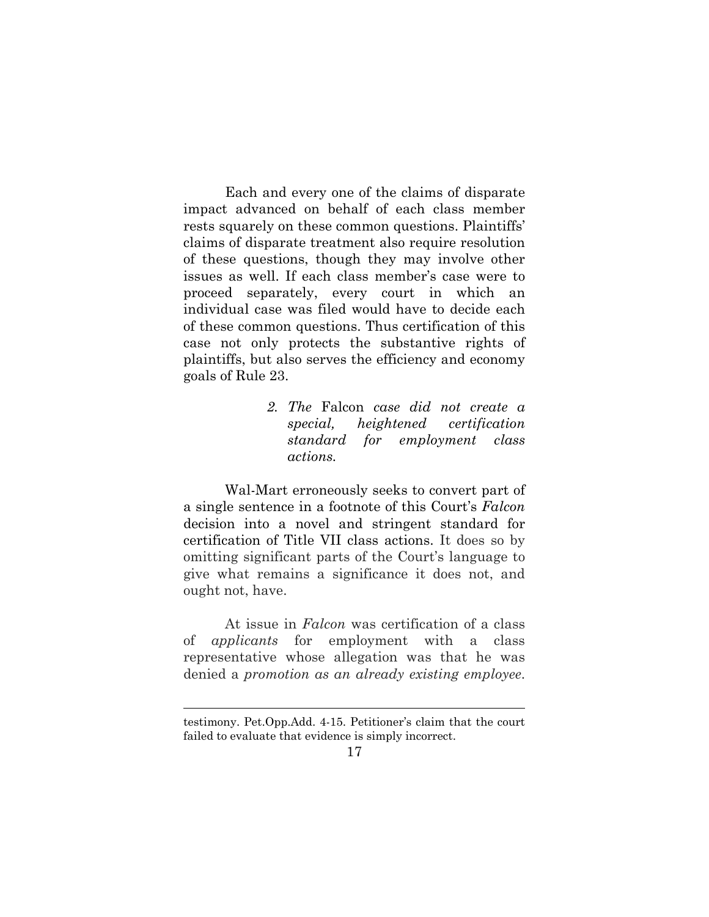Each and every one of the claims of disparate impact advanced on behalf of each class member rests squarely on these common questions. Plaintiffs' claims of disparate treatment also require resolution of these questions, though they may involve other issues as well. If each class member's case were to proceed separately, every court in which an individual case was filed would have to decide each of these common questions. Thus certification of this case not only protects the substantive rights of plaintiffs, but also serves the efficiency and economy goals of Rule 23.

> *2. The* Falcon *case did not create a special, heightened certification standard for employment class actions.*

Wal-Mart erroneously seeks to convert part of a single sentence in a footnote of this Court's *Falcon* decision into a novel and stringent standard for certification of Title VII class actions. It does so by omitting significant parts of the Court's language to give what remains a significance it does not, and ought not, have.

At issue in *Falcon* was certification of a class of *applicants* for employment with a class representative whose allegation was that he was denied a *promotion as an already existing employee*.

testimony. Pet.Opp.Add. 4-15. Petitioner's claim that the court failed to evaluate that evidence is simply incorrect.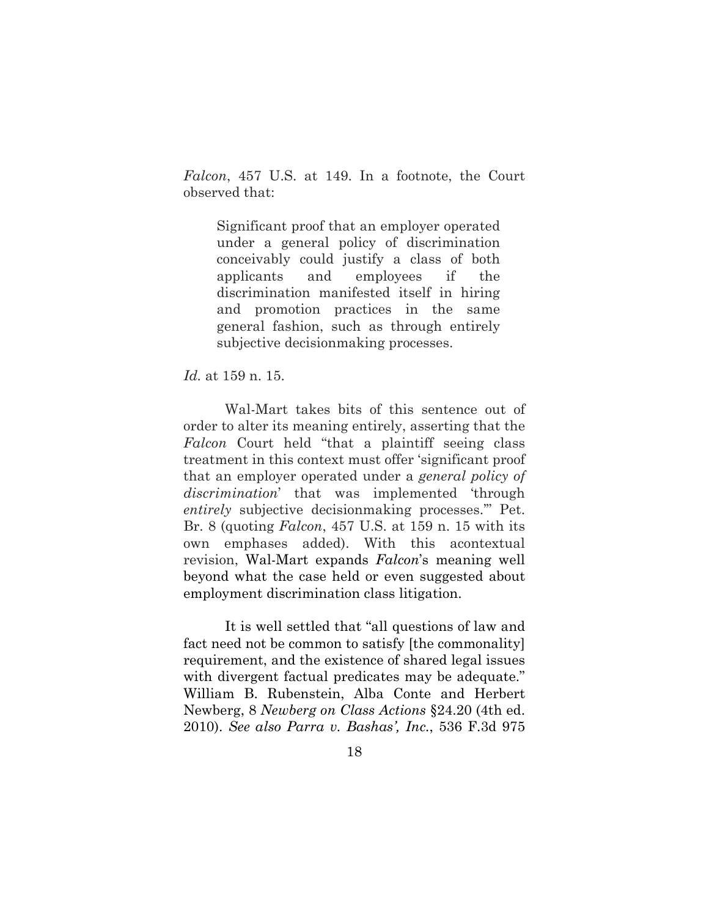*Falcon*, 457 U.S. at 149. In a footnote, the Court observed that:

Significant proof that an employer operated under a general policy of discrimination conceivably could justify a class of both applicants and employees if the discrimination manifested itself in hiring and promotion practices in the same general fashion, such as through entirely subjective decisionmaking processes.

*Id.* at 159 n. 15.

Wal-Mart takes bits of this sentence out of order to alter its meaning entirely, asserting that the *Falcon* Court held "that a plaintiff seeing class treatment in this context must offer 'significant proof that an employer operated under a *general policy of discrimination*' that was implemented 'through *entirely* subjective decisionmaking processes.'" Pet. Br. 8 (quoting *Falcon*, 457 U.S. at 159 n. 15 with its own emphases added). With this acontextual revision, Wal-Mart expands *Falcon*'s meaning well beyond what the case held or even suggested about employment discrimination class litigation.

It is well settled that "all questions of law and fact need not be common to satisfy [the commonality] requirement, and the existence of shared legal issues with divergent factual predicates may be adequate." William B. Rubenstein, Alba Conte and Herbert Newberg, 8 *Newberg on Class Actions* §24.20 (4th ed. 2010). *See also Parra v. Bashas', Inc.*, 536 F.3d 975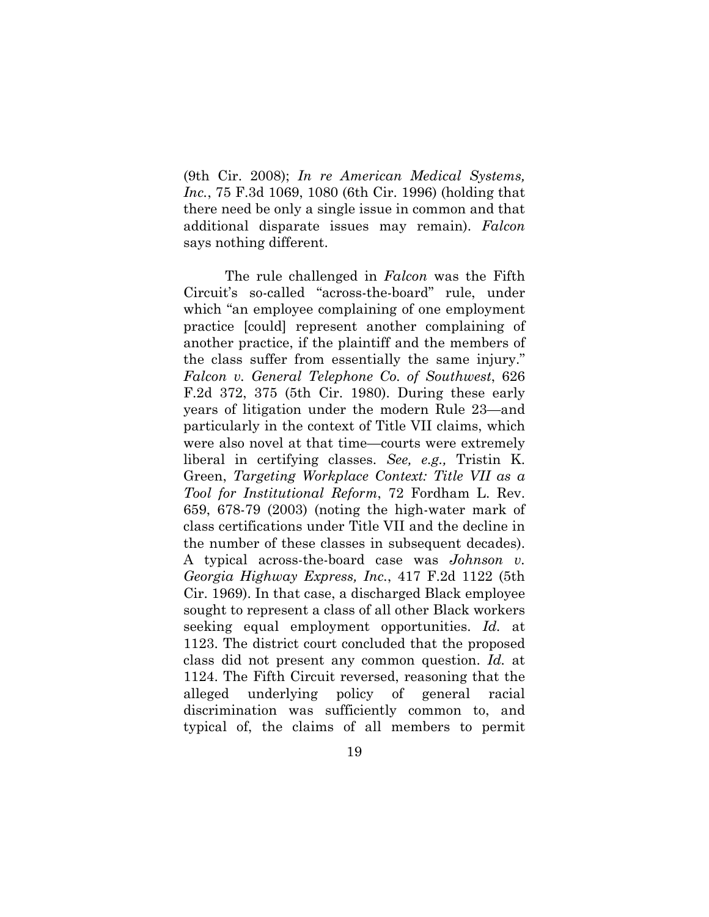(9th Cir. 2008); *In re American Medical Systems, Inc.*, 75 F.3d 1069, 1080 (6th Cir. 1996) (holding that there need be only a single issue in common and that additional disparate issues may remain). *Falcon*  says nothing different.

The rule challenged in *Falcon* was the Fifth Circuit's so-called "across-the-board" rule, under which "an employee complaining of one employment practice [could] represent another complaining of another practice, if the plaintiff and the members of the class suffer from essentially the same injury." *Falcon v. General Telephone Co. of Southwest*, 626 F.2d 372, 375 (5th Cir. 1980). During these early years of litigation under the modern Rule 23—and particularly in the context of Title VII claims, which were also novel at that time—courts were extremely liberal in certifying classes. *See, e.g.,* Tristin K. Green, *Targeting Workplace Context: Title VII as a Tool for Institutional Reform*, 72 Fordham L. Rev. 659, 678-79 (2003) (noting the high-water mark of class certifications under Title VII and the decline in the number of these classes in subsequent decades). A typical across-the-board case was *Johnson v. Georgia Highway Express, Inc.*, 417 F.2d 1122 (5th Cir. 1969). In that case, a discharged Black employee sought to represent a class of all other Black workers seeking equal employment opportunities. *Id.* at 1123. The district court concluded that the proposed class did not present any common question. *Id.* at 1124. The Fifth Circuit reversed, reasoning that the alleged underlying policy of general racial discrimination was sufficiently common to, and typical of, the claims of all members to permit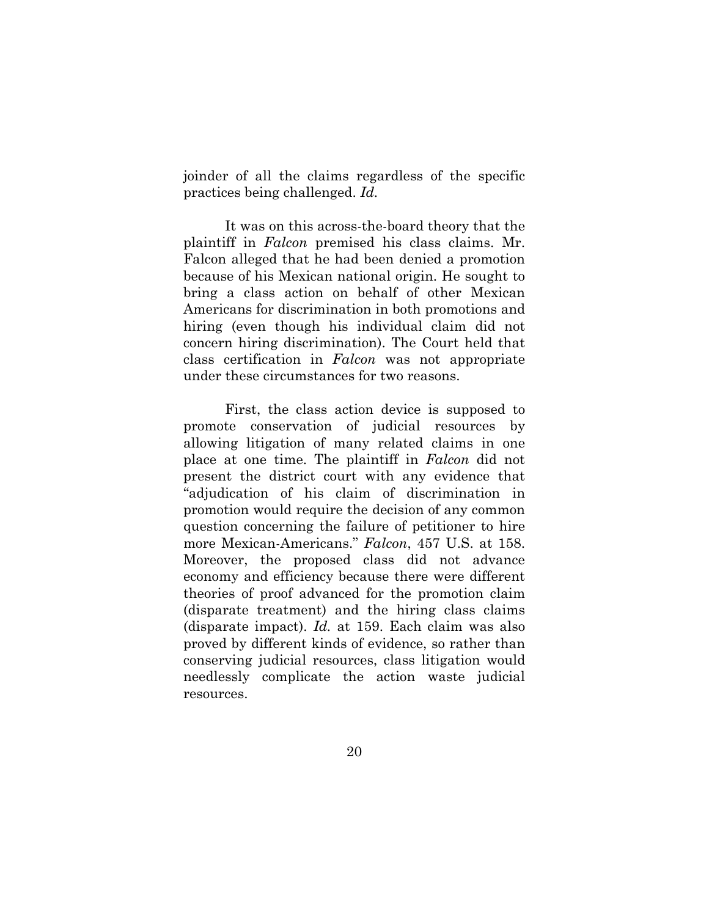joinder of all the claims regardless of the specific practices being challenged. *Id.* 

It was on this across-the-board theory that the plaintiff in *Falcon* premised his class claims. Mr. Falcon alleged that he had been denied a promotion because of his Mexican national origin. He sought to bring a class action on behalf of other Mexican Americans for discrimination in both promotions and hiring (even though his individual claim did not concern hiring discrimination). The Court held that class certification in *Falcon* was not appropriate under these circumstances for two reasons.

First, the class action device is supposed to promote conservation of judicial resources by allowing litigation of many related claims in one place at one time. The plaintiff in *Falcon* did not present the district court with any evidence that "adjudication of his claim of discrimination in promotion would require the decision of any common question concerning the failure of petitioner to hire more Mexican-Americans." *Falcon*, 457 U.S. at 158. Moreover, the proposed class did not advance economy and efficiency because there were different theories of proof advanced for the promotion claim (disparate treatment) and the hiring class claims (disparate impact). *Id.* at 159. Each claim was also proved by different kinds of evidence, so rather than conserving judicial resources, class litigation would needlessly complicate the action waste judicial resources.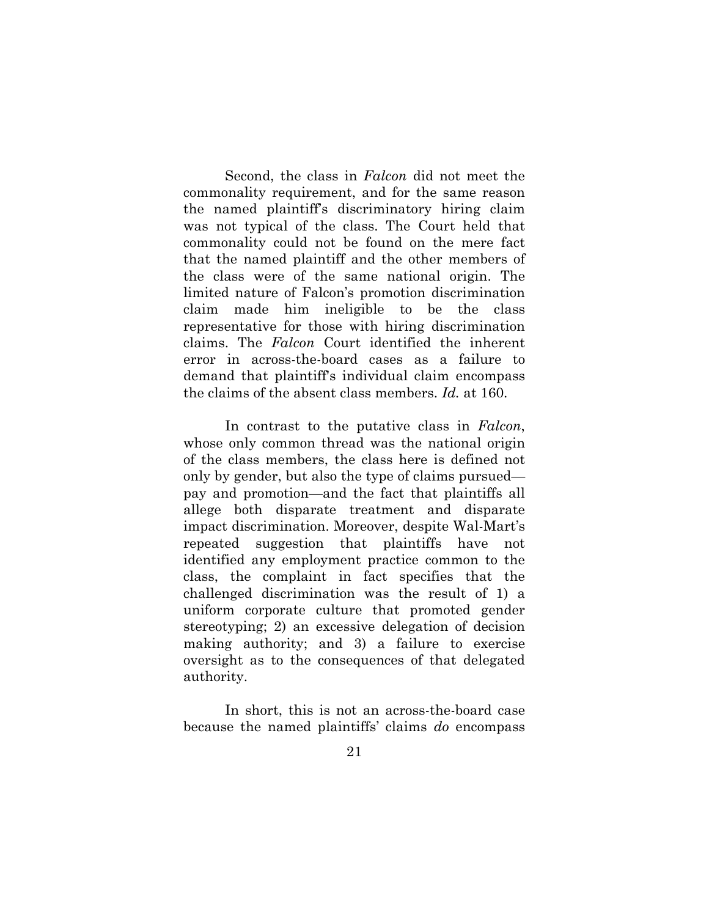Second, the class in *Falcon* did not meet the commonality requirement, and for the same reason the named plaintiff's discriminatory hiring claim was not typical of the class. The Court held that commonality could not be found on the mere fact that the named plaintiff and the other members of the class were of the same national origin. The limited nature of Falcon's promotion discrimination claim made him ineligible to be the class representative for those with hiring discrimination claims. The *Falcon* Court identified the inherent error in across-the-board cases as a failure to demand that plaintiff's individual claim encompass the claims of the absent class members. *Id.* at 160.

In contrast to the putative class in *Falcon*, whose only common thread was the national origin of the class members, the class here is defined not only by gender, but also the type of claims pursued pay and promotion—and the fact that plaintiffs all allege both disparate treatment and disparate impact discrimination. Moreover, despite Wal-Mart's repeated suggestion that plaintiffs have not identified any employment practice common to the class, the complaint in fact specifies that the challenged discrimination was the result of 1) a uniform corporate culture that promoted gender stereotyping; 2) an excessive delegation of decision making authority; and 3) a failure to exercise oversight as to the consequences of that delegated authority.

In short, this is not an across-the-board case because the named plaintiffs' claims *do* encompass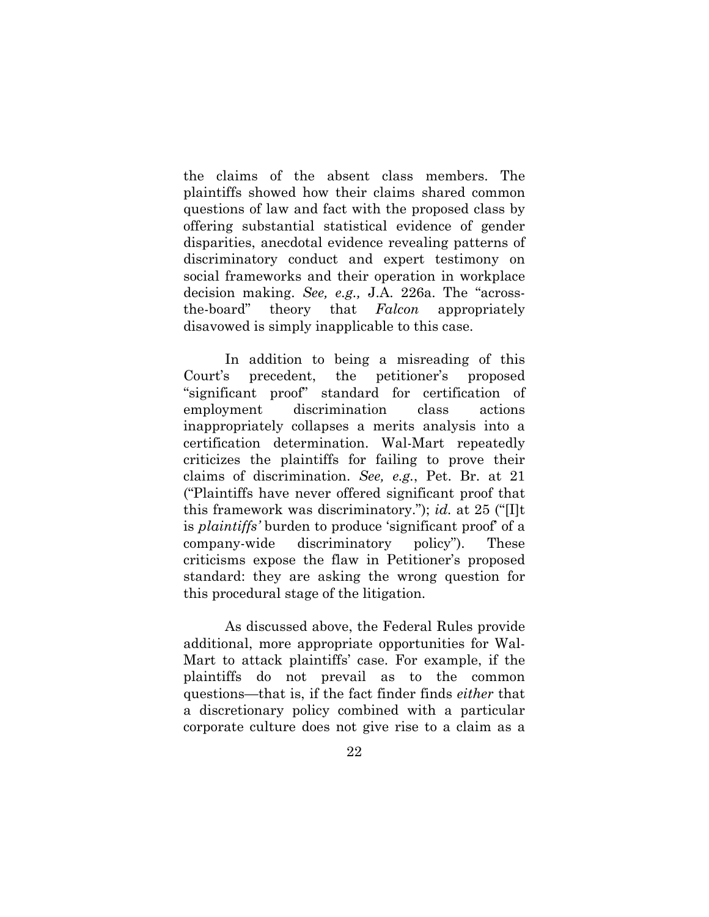the claims of the absent class members. The plaintiffs showed how their claims shared common questions of law and fact with the proposed class by offering substantial statistical evidence of gender disparities, anecdotal evidence revealing patterns of discriminatory conduct and expert testimony on social frameworks and their operation in workplace decision making. *See, e.g.,* J.A. 226a. The "acrossthe-board" theory that *Falcon* appropriately disavowed is simply inapplicable to this case.

In addition to being a misreading of this Court's precedent, the petitioner's proposed "significant proof" standard for certification of employment discrimination class actions inappropriately collapses a merits analysis into a certification determination. Wal-Mart repeatedly criticizes the plaintiffs for failing to prove their claims of discrimination. *See, e.g.*, Pet. Br. at 21 ("Plaintiffs have never offered significant proof that this framework was discriminatory."); *id.* at 25 ("[I]t is *plaintiffs'* burden to produce 'significant proof' of a company-wide discriminatory policy"). These criticisms expose the flaw in Petitioner's proposed standard: they are asking the wrong question for this procedural stage of the litigation.

As discussed above, the Federal Rules provide additional, more appropriate opportunities for Wal-Mart to attack plaintiffs' case. For example, if the plaintiffs do not prevail as to the common questions—that is, if the fact finder finds *either* that a discretionary policy combined with a particular corporate culture does not give rise to a claim as a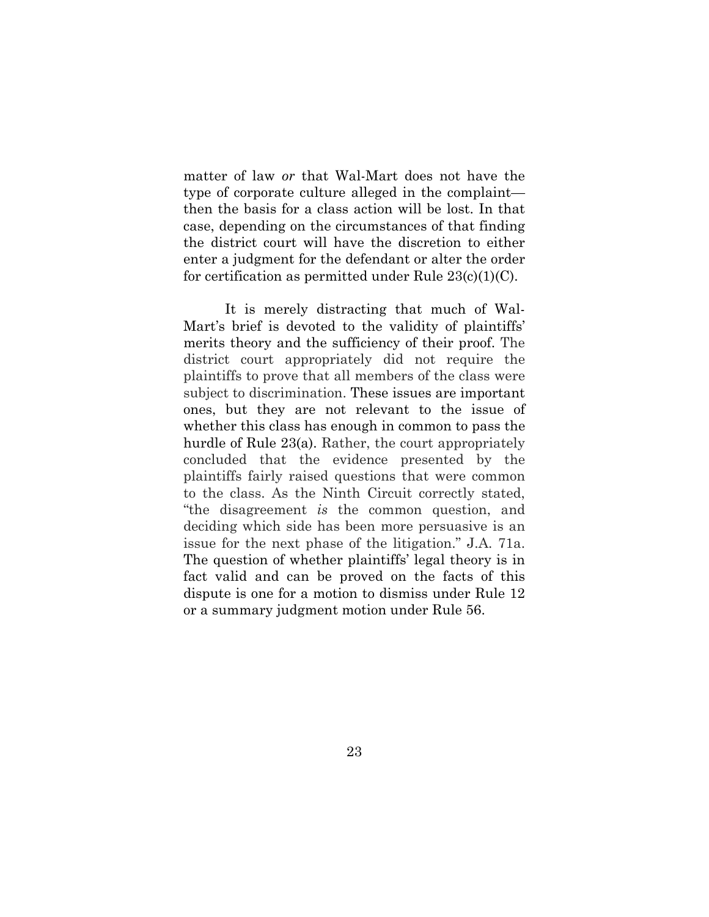matter of law *or* that Wal-Mart does not have the type of corporate culture alleged in the complaint then the basis for a class action will be lost. In that case, depending on the circumstances of that finding the district court will have the discretion to either enter a judgment for the defendant or alter the order for certification as permitted under Rule  $23(c)(1)(C)$ .

It is merely distracting that much of Wal-Mart's brief is devoted to the validity of plaintiffs' merits theory and the sufficiency of their proof. The district court appropriately did not require the plaintiffs to prove that all members of the class were subject to discrimination. These issues are important ones, but they are not relevant to the issue of whether this class has enough in common to pass the hurdle of Rule 23(a). Rather, the court appropriately concluded that the evidence presented by the plaintiffs fairly raised questions that were common to the class. As the Ninth Circuit correctly stated, "the disagreement *is* the common question, and deciding which side has been more persuasive is an issue for the next phase of the litigation." J.A. 71a. The question of whether plaintiffs' legal theory is in fact valid and can be proved on the facts of this dispute is one for a motion to dismiss under Rule 12 or a summary judgment motion under Rule 56.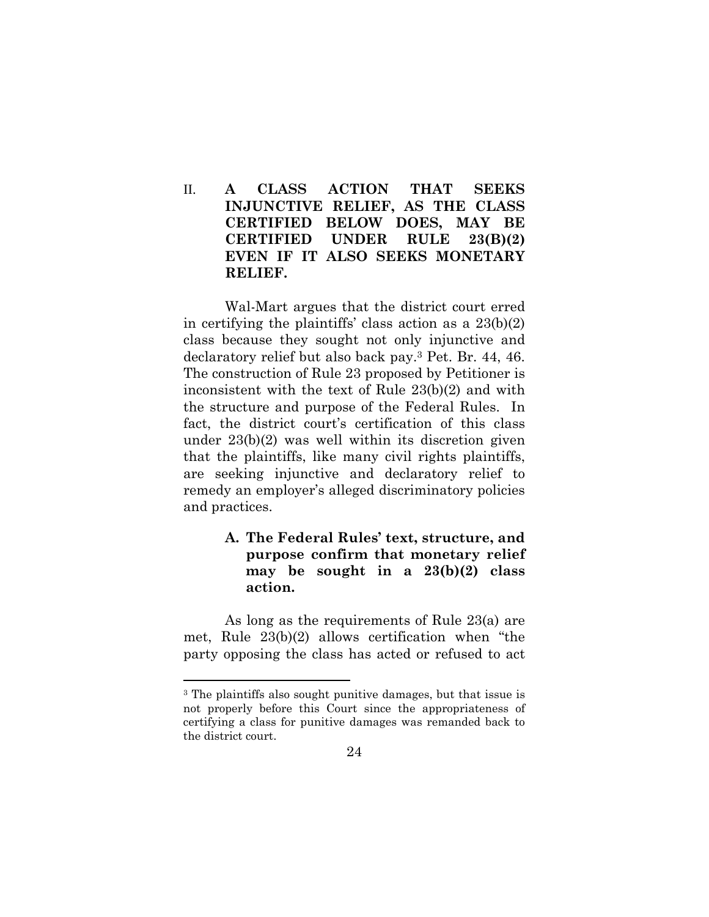## II. **A CLASS ACTION THAT SEEKS INJUNCTIVE RELIEF, AS THE CLASS CERTIFIED BELOW DOES, MAY BE CERTIFIED UNDER RULE 23(B)(2) EVEN IF IT ALSO SEEKS MONETARY RELIEF.**

Wal-Mart argues that the district court erred in certifying the plaintiffs' class action as a 23(b)(2) class because they sought not only injunctive and declaratory relief but also back pay.3 Pet. Br. 44, 46. The construction of Rule 23 proposed by Petitioner is inconsistent with the text of Rule 23(b)(2) and with the structure and purpose of the Federal Rules. In fact, the district court's certification of this class under 23(b)(2) was well within its discretion given that the plaintiffs, like many civil rights plaintiffs, are seeking injunctive and declaratory relief to remedy an employer's alleged discriminatory policies and practices.

## **A. The Federal Rules' text, structure, and purpose confirm that monetary relief may be sought in a 23(b)(2) class action.**

As long as the requirements of Rule 23(a) are met, Rule 23(b)(2) allows certification when "the party opposing the class has acted or refused to act

<sup>3</sup> The plaintiffs also sought punitive damages, but that issue is not properly before this Court since the appropriateness of certifying a class for punitive damages was remanded back to the district court.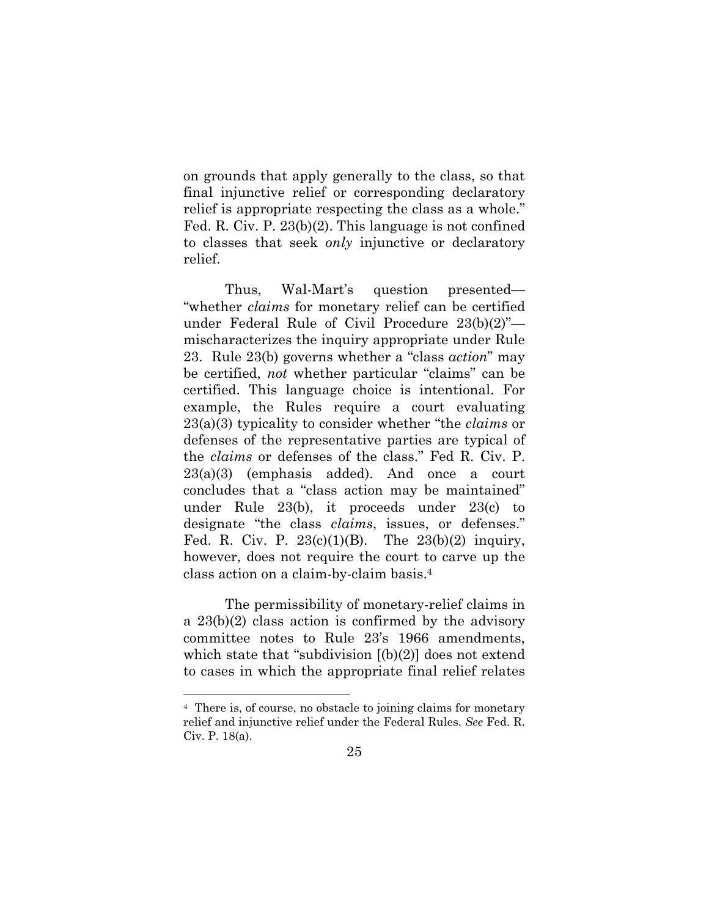on grounds that apply generally to the class, so that final injunctive relief or corresponding declaratory relief is appropriate respecting the class as a whole." Fed. R. Civ. P. 23(b)(2). This language is not confined to classes that seek *only* injunctive or declaratory relief.

Thus, Wal-Mart's question presented— "whether *claims* for monetary relief can be certified under Federal Rule of Civil Procedure 23(b)(2)" mischaracterizes the inquiry appropriate under Rule 23. Rule 23(b) governs whether a "class *action*" may be certified, *not* whether particular "claims" can be certified. This language choice is intentional. For example, the Rules require a court evaluating 23(a)(3) typicality to consider whether "the *claims* or defenses of the representative parties are typical of the *claims* or defenses of the class." Fed R. Civ. P. 23(a)(3) (emphasis added). And once a court concludes that a "class action may be maintained" under Rule 23(b), it proceeds under 23(c) to designate "the class *claims*, issues, or defenses." Fed. R. Civ. P.  $23(c)(1)(B)$ . The  $23(b)(2)$  inquiry, however, does not require the court to carve up the class action on a claim-by-claim basis.4

The permissibility of monetary-relief claims in a 23(b)(2) class action is confirmed by the advisory committee notes to Rule 23's 1966 amendments, which state that "subdivision  $[(b)(2)]$  does not extend to cases in which the appropriate final relief relates

<sup>4</sup> There is, of course, no obstacle to joining claims for monetary relief and injunctive relief under the Federal Rules. *See* Fed. R. Civ. P. 18(a).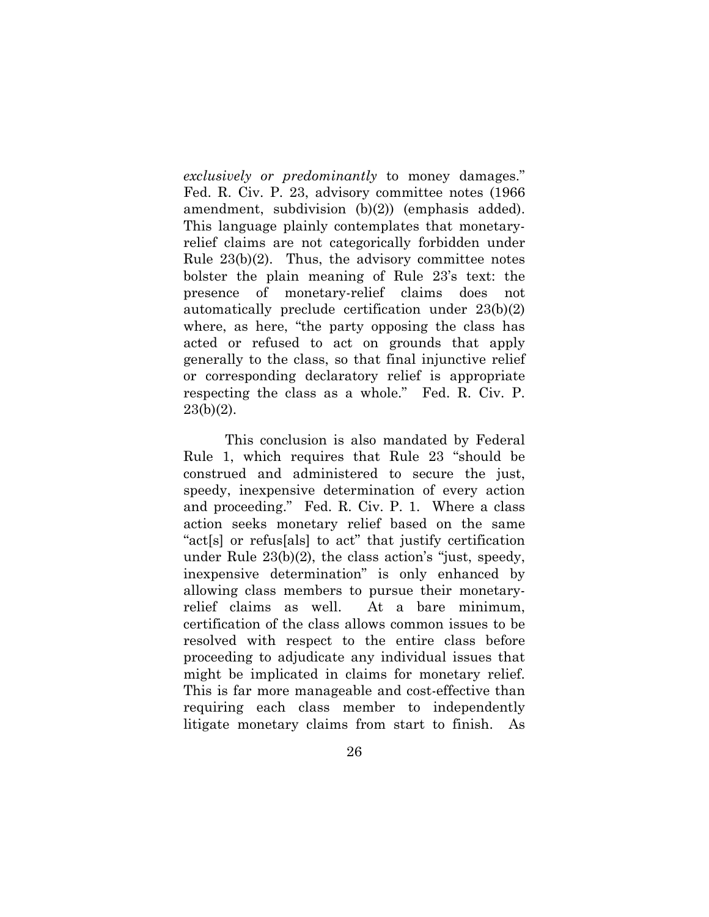*exclusively or predominantly* to money damages." Fed. R. Civ. P. 23, advisory committee notes (1966 amendment, subdivision (b)(2)) (emphasis added). This language plainly contemplates that monetaryrelief claims are not categorically forbidden under Rule  $23(b)(2)$ . Thus, the advisory committee notes bolster the plain meaning of Rule 23's text: the presence of monetary-relief claims does not automatically preclude certification under 23(b)(2) where, as here, "the party opposing the class has acted or refused to act on grounds that apply generally to the class, so that final injunctive relief or corresponding declaratory relief is appropriate respecting the class as a whole." Fed. R. Civ. P.  $23(b)(2)$ .

This conclusion is also mandated by Federal Rule 1, which requires that Rule 23 "should be construed and administered to secure the just, speedy, inexpensive determination of every action and proceeding." Fed. R. Civ. P. 1. Where a class action seeks monetary relief based on the same "act[s] or refus[als] to act" that justify certification under Rule 23(b)(2), the class action's "just, speedy, inexpensive determination" is only enhanced by allowing class members to pursue their monetaryrelief claims as well. At a bare minimum, certification of the class allows common issues to be resolved with respect to the entire class before proceeding to adjudicate any individual issues that might be implicated in claims for monetary relief. This is far more manageable and cost-effective than requiring each class member to independently litigate monetary claims from start to finish. As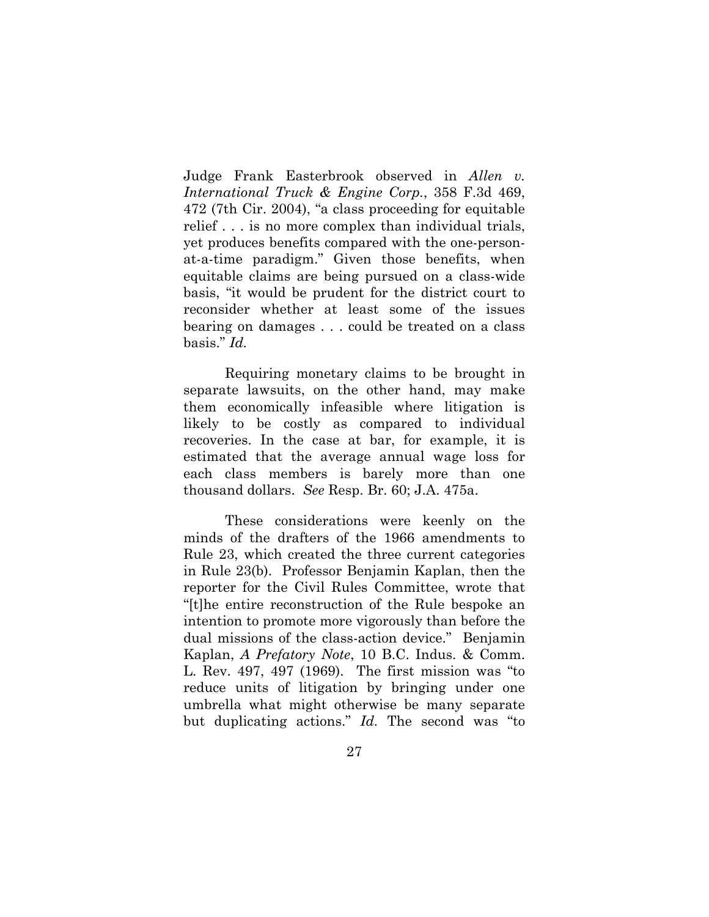Judge Frank Easterbrook observed in *Allen v. International Truck & Engine Corp.*, 358 F.3d 469, 472 (7th Cir. 2004), "a class proceeding for equitable relief . . . is no more complex than individual trials, yet produces benefits compared with the one-personat-a-time paradigm." Given those benefits, when equitable claims are being pursued on a class-wide basis, "it would be prudent for the district court to reconsider whether at least some of the issues bearing on damages . . . could be treated on a class basis." *Id.* 

Requiring monetary claims to be brought in separate lawsuits, on the other hand, may make them economically infeasible where litigation is likely to be costly as compared to individual recoveries. In the case at bar, for example, it is estimated that the average annual wage loss for each class members is barely more than one thousand dollars. *See* Resp. Br. 60; J.A. 475a.

These considerations were keenly on the minds of the drafters of the 1966 amendments to Rule 23, which created the three current categories in Rule 23(b). Professor Benjamin Kaplan, then the reporter for the Civil Rules Committee, wrote that "[t]he entire reconstruction of the Rule bespoke an intention to promote more vigorously than before the dual missions of the class-action device." Benjamin Kaplan, *A Prefatory Note*, 10 B.C. Indus. & Comm. L. Rev. 497, 497 (1969). The first mission was "to reduce units of litigation by bringing under one umbrella what might otherwise be many separate but duplicating actions." *Id.* The second was "to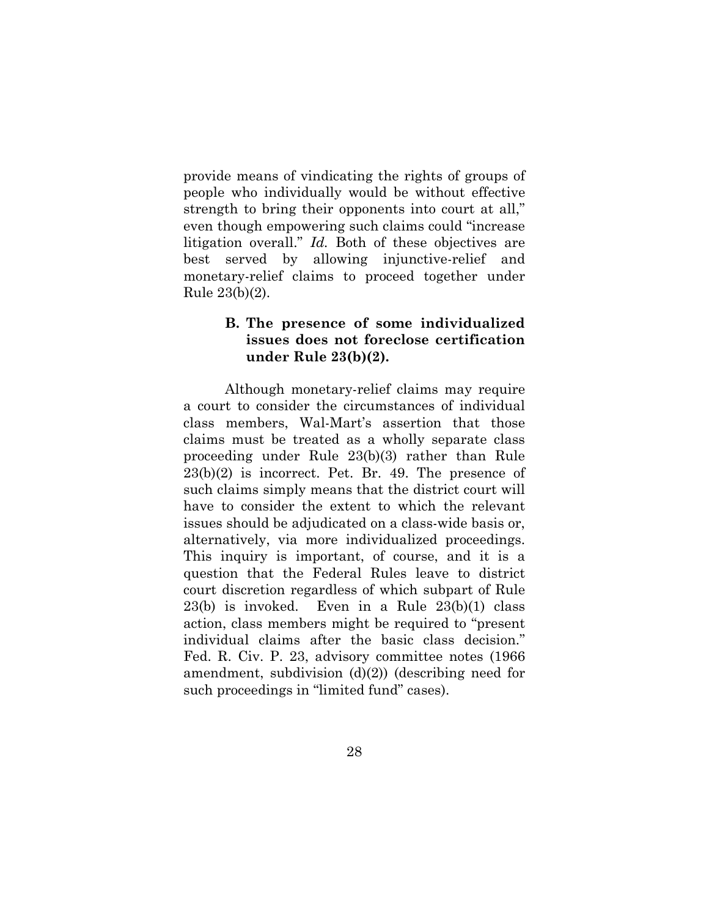provide means of vindicating the rights of groups of people who individually would be without effective strength to bring their opponents into court at all," even though empowering such claims could "increase litigation overall." *Id.* Both of these objectives are best served by allowing injunctive-relief and monetary-relief claims to proceed together under Rule 23(b)(2).

## **B. The presence of some individualized issues does not foreclose certification under Rule 23(b)(2).**

Although monetary-relief claims may require a court to consider the circumstances of individual class members, Wal-Mart's assertion that those claims must be treated as a wholly separate class proceeding under Rule 23(b)(3) rather than Rule  $23(b)(2)$  is incorrect. Pet. Br. 49. The presence of such claims simply means that the district court will have to consider the extent to which the relevant issues should be adjudicated on a class-wide basis or, alternatively, via more individualized proceedings. This inquiry is important, of course, and it is a question that the Federal Rules leave to district court discretion regardless of which subpart of Rule 23(b) is invoked. Even in a Rule 23(b)(1) class action, class members might be required to "present individual claims after the basic class decision." Fed. R. Civ. P. 23, advisory committee notes (1966 amendment, subdivision  $(d)(2)$  (describing need for such proceedings in "limited fund" cases).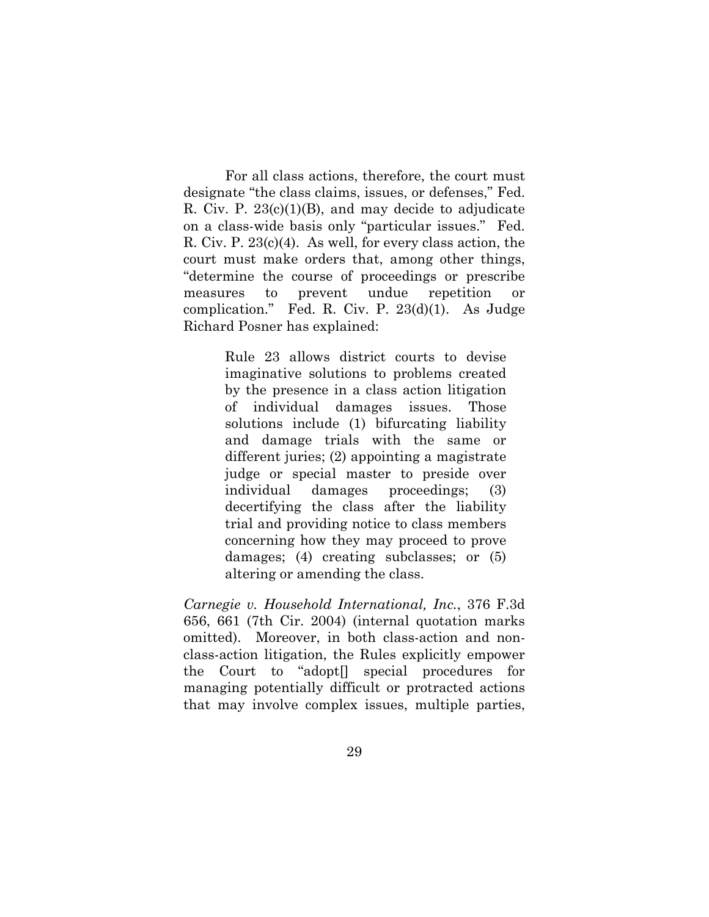For all class actions, therefore, the court must designate "the class claims, issues, or defenses," Fed. R. Civ. P.  $23(c)(1)(B)$ , and may decide to adjudicate on a class-wide basis only "particular issues." Fed. R. Civ. P. 23(c)(4). As well, for every class action, the court must make orders that, among other things, "determine the course of proceedings or prescribe measures to prevent undue repetition or complication." Fed. R. Civ. P. 23(d)(1). As Judge Richard Posner has explained:

> Rule 23 allows district courts to devise imaginative solutions to problems created by the presence in a class action litigation of individual damages issues. Those solutions include (1) bifurcating liability and damage trials with the same or different juries; (2) appointing a magistrate judge or special master to preside over individual damages proceedings; (3) decertifying the class after the liability trial and providing notice to class members concerning how they may proceed to prove damages; (4) creating subclasses; or (5) altering or amending the class.

*Carnegie v. Household International, Inc.*, 376 F.3d 656, 661 (7th Cir. 2004) (internal quotation marks omitted). Moreover, in both class-action and nonclass-action litigation, the Rules explicitly empower the Court to "adopt[] special procedures for managing potentially difficult or protracted actions that may involve complex issues, multiple parties,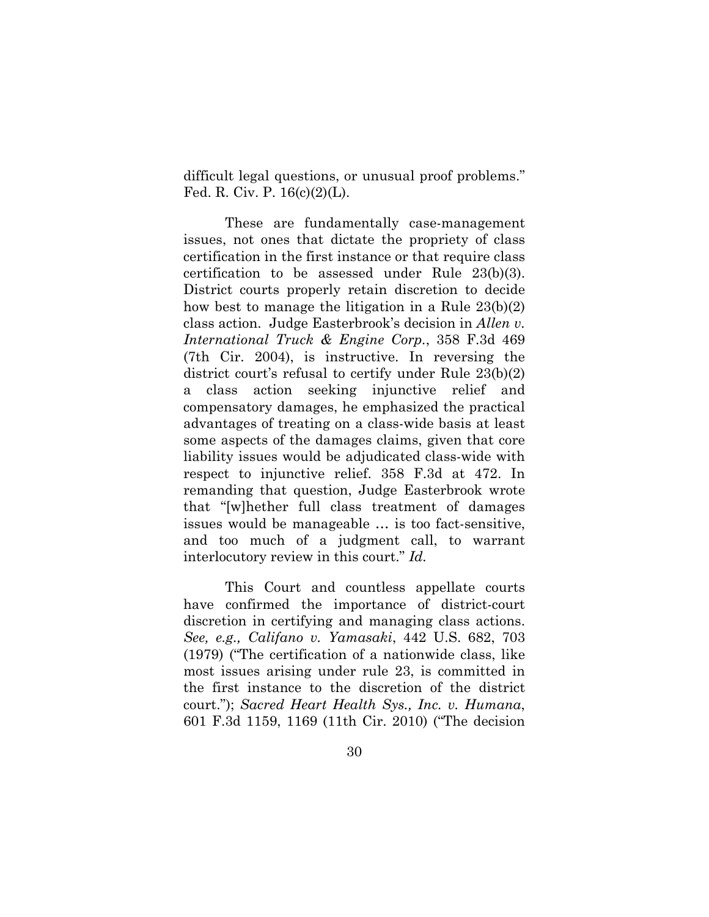difficult legal questions, or unusual proof problems." Fed. R. Civ. P. 16(c)(2)(L).

These are fundamentally case-management issues, not ones that dictate the propriety of class certification in the first instance or that require class certification to be assessed under Rule 23(b)(3). District courts properly retain discretion to decide how best to manage the litigation in a Rule 23(b)(2) class action. Judge Easterbrook's decision in *Allen v. International Truck & Engine Corp.*, 358 F.3d 469 (7th Cir. 2004), is instructive. In reversing the district court's refusal to certify under Rule 23(b)(2) a class action seeking injunctive relief and compensatory damages, he emphasized the practical advantages of treating on a class-wide basis at least some aspects of the damages claims, given that core liability issues would be adjudicated class-wide with respect to injunctive relief. 358 F.3d at 472. In remanding that question, Judge Easterbrook wrote that "[w]hether full class treatment of damages issues would be manageable … is too fact-sensitive, and too much of a judgment call, to warrant interlocutory review in this court." *Id.*

This Court and countless appellate courts have confirmed the importance of district-court discretion in certifying and managing class actions. *See, e.g., Califano v. Yamasaki*, 442 U.S. 682, 703 (1979) ("The certification of a nationwide class, like most issues arising under rule 23, is committed in the first instance to the discretion of the district court."); *Sacred Heart Health Sys., Inc. v. Humana*, 601 F.3d 1159, 1169 (11th Cir. 2010) ("The decision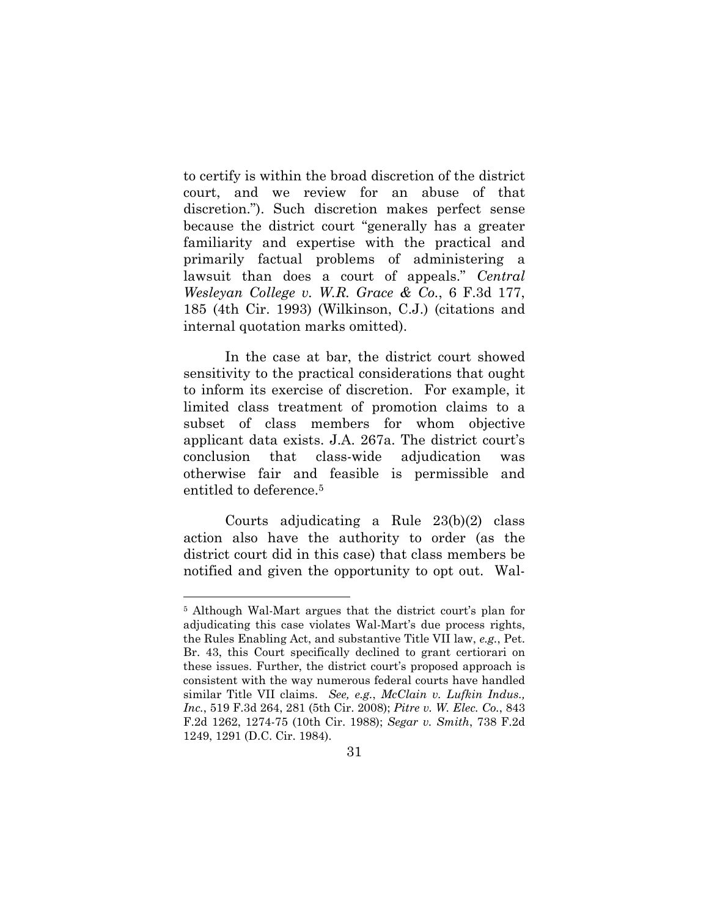to certify is within the broad discretion of the district court, and we review for an abuse of that discretion."). Such discretion makes perfect sense because the district court "generally has a greater familiarity and expertise with the practical and primarily factual problems of administering a lawsuit than does a court of appeals." *Central Wesleyan College v. W.R. Grace & Co.*, 6 F.3d 177, 185 (4th Cir. 1993) (Wilkinson, C.J.) (citations and internal quotation marks omitted).

In the case at bar, the district court showed sensitivity to the practical considerations that ought to inform its exercise of discretion. For example, it limited class treatment of promotion claims to a subset of class members for whom objective applicant data exists. J.A. 267a. The district court's conclusion that class-wide adjudication was otherwise fair and feasible is permissible and entitled to deference.5

Courts adjudicating a Rule 23(b)(2) class action also have the authority to order (as the district court did in this case) that class members be notified and given the opportunity to opt out. Wal-

<sup>5</sup> Although Wal-Mart argues that the district court's plan for adjudicating this case violates Wal-Mart's due process rights, the Rules Enabling Act, and substantive Title VII law, *e.g.*, Pet. Br. 43, this Court specifically declined to grant certiorari on these issues. Further, the district court's proposed approach is consistent with the way numerous federal courts have handled similar Title VII claims. *See, e.g.*, *McClain v. Lufkin Indus., Inc.*, 519 F.3d 264, 281 (5th Cir. 2008); *Pitre v. W. Elec. Co.*, 843 F.2d 1262, 1274-75 (10th Cir. 1988); *Segar v. Smith*, 738 F.2d 1249, 1291 (D.C. Cir. 1984).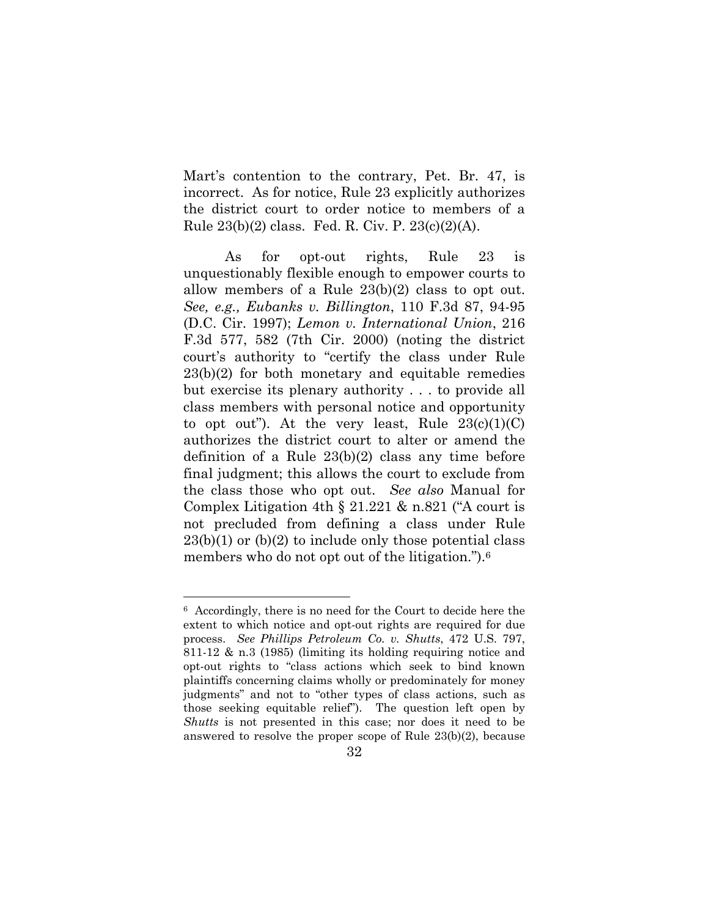Mart's contention to the contrary, Pet. Br. 47, is incorrect. As for notice, Rule 23 explicitly authorizes the district court to order notice to members of a Rule 23(b)(2) class. Fed. R. Civ. P. 23(c)(2)(A).

As for opt-out rights, Rule 23 is unquestionably flexible enough to empower courts to allow members of a Rule 23(b)(2) class to opt out. *See, e.g., Eubanks v. Billington*, 110 F.3d 87, 94-95 (D.C. Cir. 1997); *Lemon v. International Union*, 216 F.3d 577, 582 (7th Cir. 2000) (noting the district court's authority to "certify the class under Rule 23(b)(2) for both monetary and equitable remedies but exercise its plenary authority . . . to provide all class members with personal notice and opportunity to opt out"). At the very least, Rule  $23(c)(1)(C)$ authorizes the district court to alter or amend the definition of a Rule 23(b)(2) class any time before final judgment; this allows the court to exclude from the class those who opt out. *See also* Manual for Complex Litigation 4th § 21.221 & n.821 ("A court is not precluded from defining a class under Rule  $23(b)(1)$  or  $(b)(2)$  to include only those potential class members who do not opt out of the litigation.").<sup>6</sup>

<sup>6</sup> Accordingly, there is no need for the Court to decide here the extent to which notice and opt-out rights are required for due process. *See Phillips Petroleum Co. v. Shutts*, 472 U.S. 797, 811-12 & n.3 (1985) (limiting its holding requiring notice and opt-out rights to "class actions which seek to bind known plaintiffs concerning claims wholly or predominately for money judgments" and not to "other types of class actions, such as those seeking equitable relief"). The question left open by *Shutts* is not presented in this case; nor does it need to be answered to resolve the proper scope of Rule 23(b)(2), because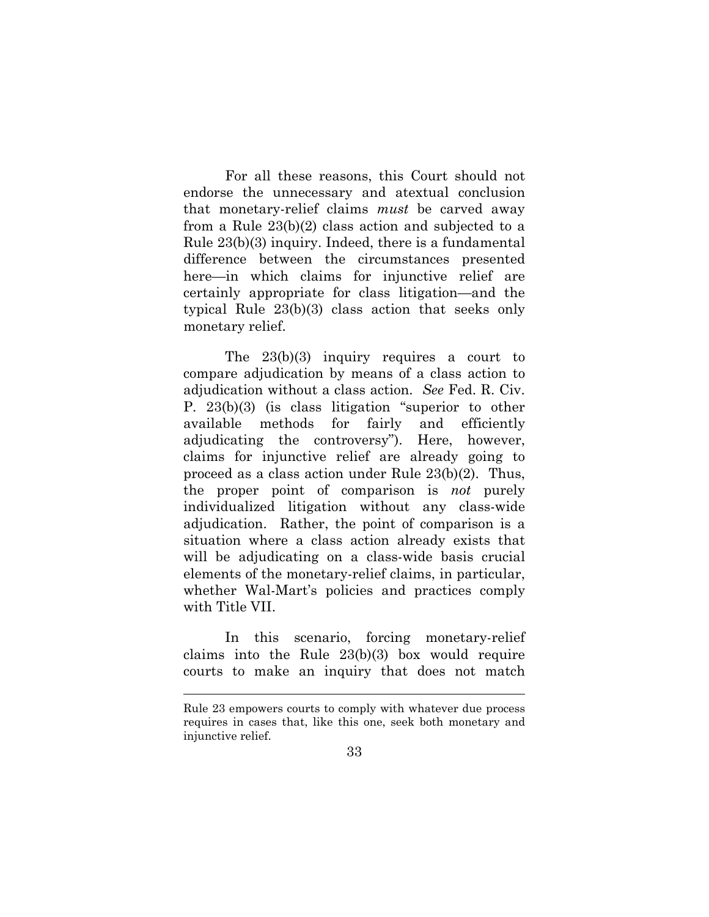For all these reasons, this Court should not endorse the unnecessary and atextual conclusion that monetary-relief claims *must* be carved away from a Rule 23(b)(2) class action and subjected to a Rule 23(b)(3) inquiry. Indeed, there is a fundamental difference between the circumstances presented here—in which claims for injunctive relief are certainly appropriate for class litigation—and the typical Rule 23(b)(3) class action that seeks only monetary relief.

The 23(b)(3) inquiry requires a court to compare adjudication by means of a class action to adjudication without a class action. *See* Fed. R. Civ. P. 23(b)(3) (is class litigation "superior to other available methods for fairly and efficiently adjudicating the controversy"). Here, however, claims for injunctive relief are already going to proceed as a class action under Rule 23(b)(2). Thus, the proper point of comparison is *not* purely individualized litigation without any class-wide adjudication. Rather, the point of comparison is a situation where a class action already exists that will be adjudicating on a class-wide basis crucial elements of the monetary-relief claims, in particular, whether Wal-Mart's policies and practices comply with Title VII.

In this scenario, forcing monetary-relief claims into the Rule 23(b)(3) box would require courts to make an inquiry that does not match

Rule 23 empowers courts to comply with whatever due process requires in cases that, like this one, seek both monetary and injunctive relief.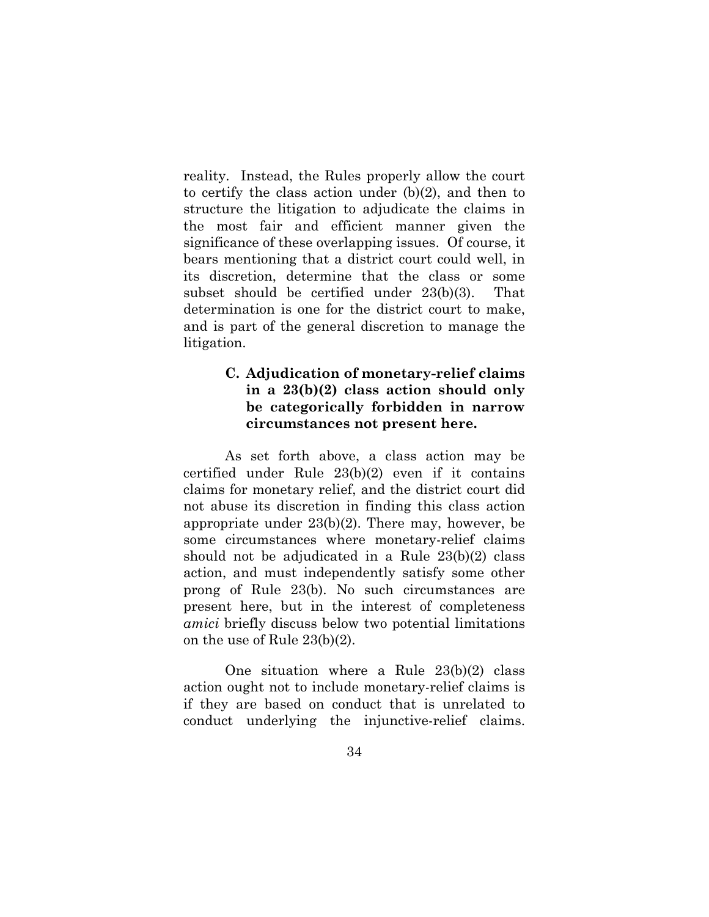reality. Instead, the Rules properly allow the court to certify the class action under (b)(2), and then to structure the litigation to adjudicate the claims in the most fair and efficient manner given the significance of these overlapping issues. Of course, it bears mentioning that a district court could well, in its discretion, determine that the class or some subset should be certified under 23(b)(3). That determination is one for the district court to make, and is part of the general discretion to manage the litigation.

## **C. Adjudication of monetary-relief claims in a 23(b)(2) class action should only be categorically forbidden in narrow circumstances not present here.**

As set forth above, a class action may be certified under Rule 23(b)(2) even if it contains claims for monetary relief, and the district court did not abuse its discretion in finding this class action appropriate under 23(b)(2). There may, however, be some circumstances where monetary-relief claims should not be adjudicated in a Rule 23(b)(2) class action, and must independently satisfy some other prong of Rule 23(b). No such circumstances are present here, but in the interest of completeness *amici* briefly discuss below two potential limitations on the use of Rule 23(b)(2).

One situation where a Rule 23(b)(2) class action ought not to include monetary-relief claims is if they are based on conduct that is unrelated to conduct underlying the injunctive-relief claims.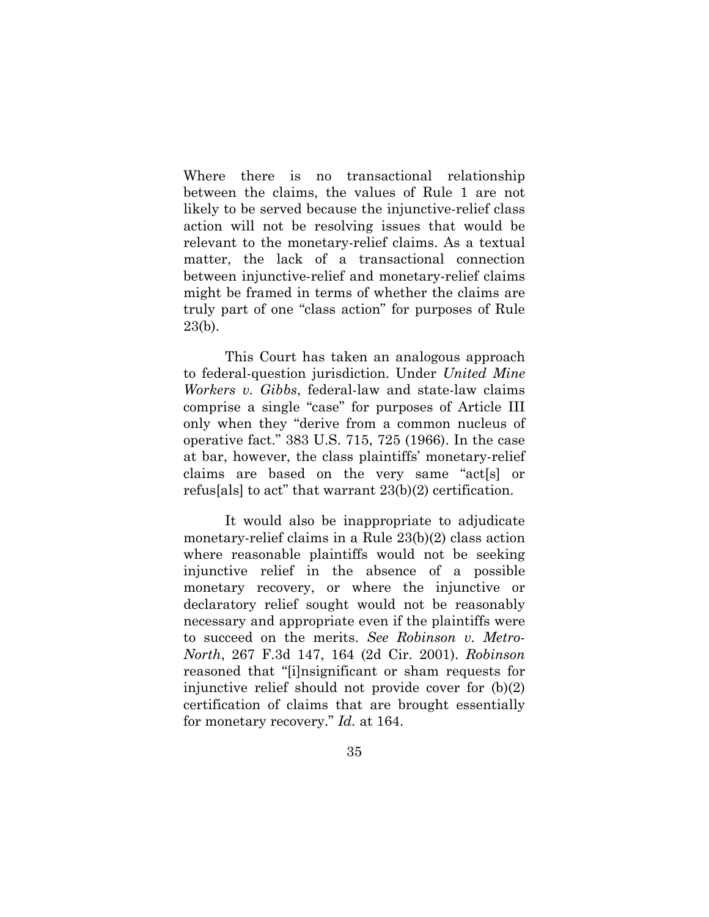Where there is no transactional relationship between the claims, the values of Rule 1 are not likely to be served because the injunctive-relief class action will not be resolving issues that would be relevant to the monetary-relief claims. As a textual matter, the lack of a transactional connection between injunctive-relief and monetary-relief claims might be framed in terms of whether the claims are truly part of one "class action" for purposes of Rule 23(b).

This Court has taken an analogous approach to federal-question jurisdiction. Under *United Mine Workers v. Gibbs*, federal-law and state-law claims comprise a single "case" for purposes of Article III only when they "derive from a common nucleus of operative fact." 383 U.S. 715, 725 (1966). In the case at bar, however, the class plaintiffs' monetary-relief claims are based on the very same "act[s] or refus[als] to act" that warrant 23(b)(2) certification.

It would also be inappropriate to adjudicate monetary-relief claims in a Rule 23(b)(2) class action where reasonable plaintiffs would not be seeking injunctive relief in the absence of a possible monetary recovery, or where the injunctive or declaratory relief sought would not be reasonably necessary and appropriate even if the plaintiffs were to succeed on the merits. *See Robinson v. Metro-North*, 267 F.3d 147, 164 (2d Cir. 2001). *Robinson* reasoned that "[i]nsignificant or sham requests for injunctive relief should not provide cover for (b)(2) certification of claims that are brought essentially for monetary recovery." *Id.* at 164.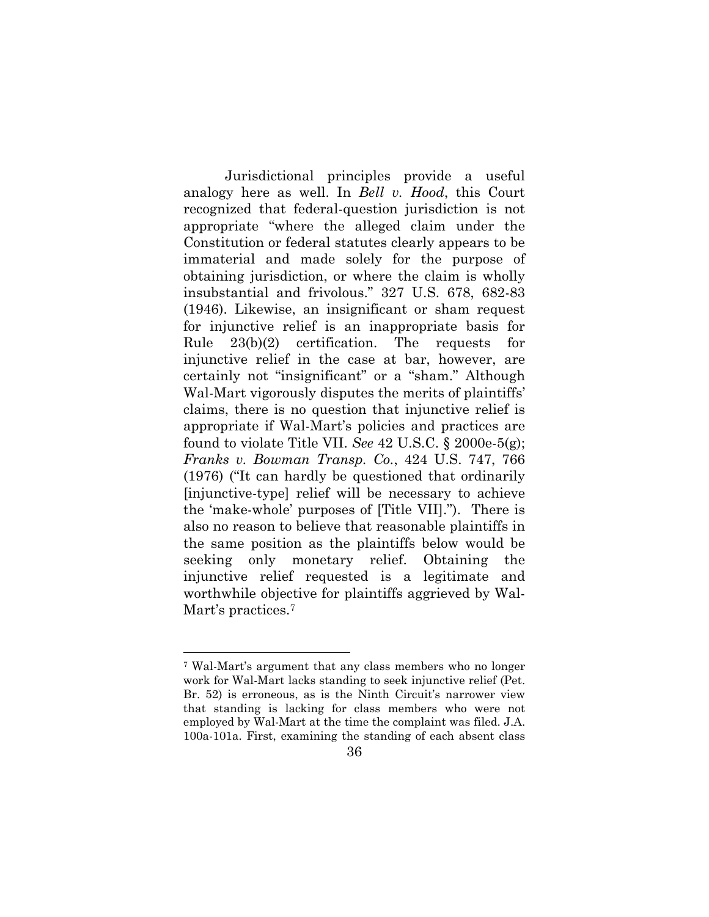Jurisdictional principles provide a useful analogy here as well. In *Bell v. Hood*, this Court recognized that federal-question jurisdiction is not appropriate "where the alleged claim under the Constitution or federal statutes clearly appears to be immaterial and made solely for the purpose of obtaining jurisdiction, or where the claim is wholly insubstantial and frivolous." 327 U.S. 678, 682-83 (1946). Likewise, an insignificant or sham request for injunctive relief is an inappropriate basis for Rule 23(b)(2) certification. The requests for injunctive relief in the case at bar, however, are certainly not "insignificant" or a "sham." Although Wal-Mart vigorously disputes the merits of plaintiffs' claims, there is no question that injunctive relief is appropriate if Wal-Mart's policies and practices are found to violate Title VII. *See* 42 U.S.C. § 2000e-5(g); *Franks v. Bowman Transp. Co.*, 424 U.S. 747, 766 (1976) ("It can hardly be questioned that ordinarily [injunctive-type] relief will be necessary to achieve the 'make-whole' purposes of [Title VII]."). There is also no reason to believe that reasonable plaintiffs in the same position as the plaintiffs below would be seeking only monetary relief. Obtaining the injunctive relief requested is a legitimate and worthwhile objective for plaintiffs aggrieved by Wal-Mart's practices.<sup>7</sup>

<sup>7</sup> Wal-Mart's argument that any class members who no longer work for Wal-Mart lacks standing to seek injunctive relief (Pet. Br. 52) is erroneous, as is the Ninth Circuit's narrower view that standing is lacking for class members who were not employed by Wal-Mart at the time the complaint was filed. J.A. 100a-101a. First, examining the standing of each absent class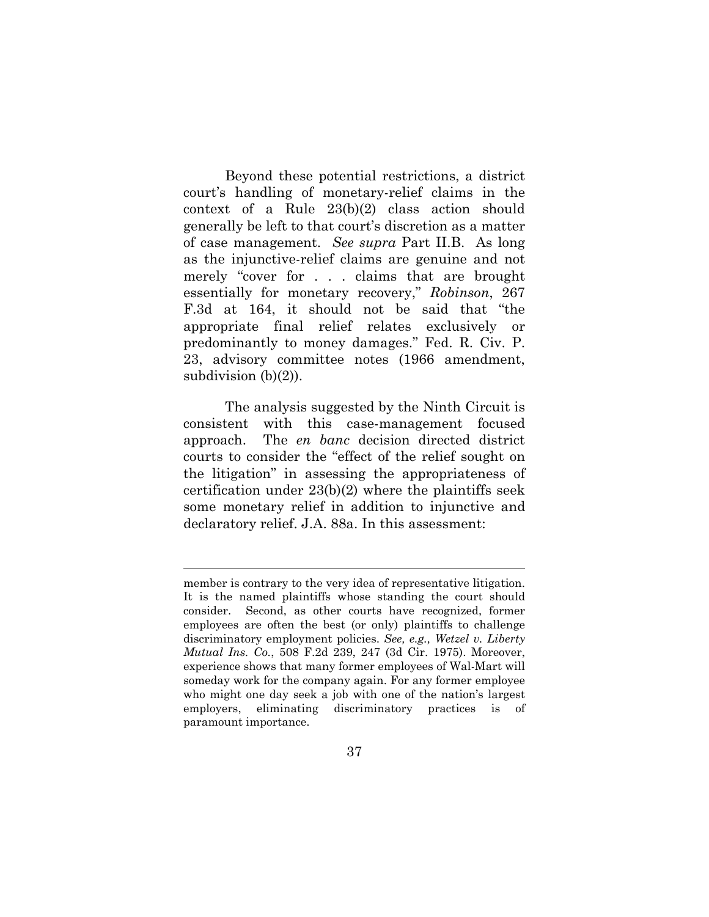Beyond these potential restrictions, a district court's handling of monetary-relief claims in the context of a Rule 23(b)(2) class action should generally be left to that court's discretion as a matter of case management. *See supra* Part II.B. As long as the injunctive-relief claims are genuine and not merely "cover for . . . claims that are brought essentially for monetary recovery," *Robinson*, 267 F.3d at 164, it should not be said that "the appropriate final relief relates exclusively or predominantly to money damages." Fed. R. Civ. P. 23, advisory committee notes (1966 amendment, subdivision  $(b)(2)$ ).

The analysis suggested by the Ninth Circuit is consistent with this case-management focused approach. The *en banc* decision directed district courts to consider the "effect of the relief sought on the litigation" in assessing the appropriateness of certification under 23(b)(2) where the plaintiffs seek some monetary relief in addition to injunctive and declaratory relief. J.A. 88a. In this assessment:

member is contrary to the very idea of representative litigation. It is the named plaintiffs whose standing the court should consider. Second, as other courts have recognized, former employees are often the best (or only) plaintiffs to challenge discriminatory employment policies. *See, e.g., Wetzel v. Liberty Mutual Ins. Co.*, 508 F.2d 239, 247 (3d Cir. 1975). Moreover, experience shows that many former employees of Wal-Mart will someday work for the company again. For any former employee who might one day seek a job with one of the nation's largest employers, eliminating discriminatory practices is of paramount importance.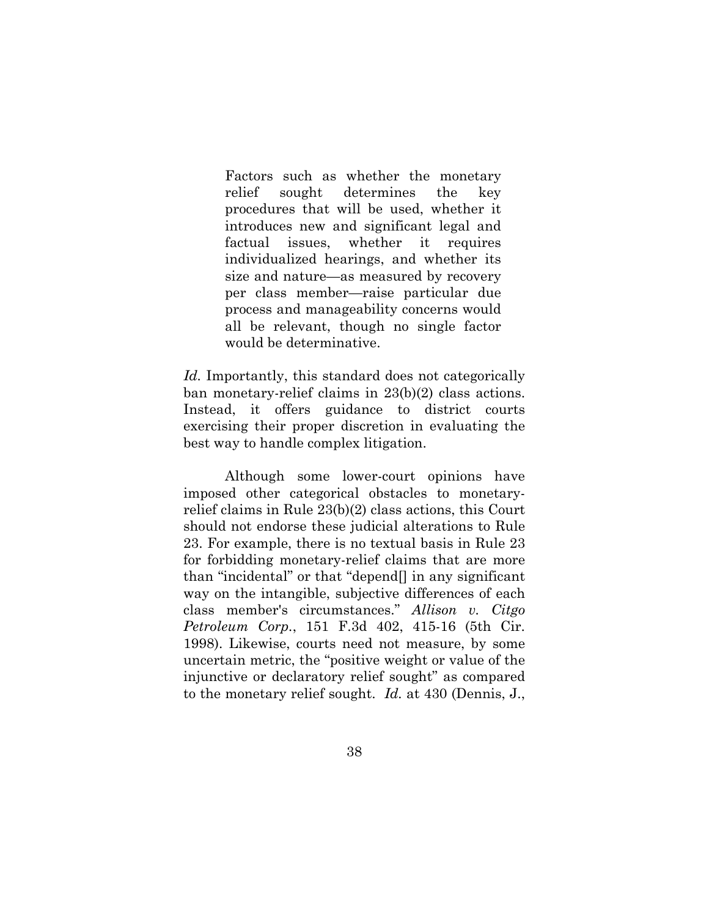Factors such as whether the monetary relief sought determines the key procedures that will be used, whether it introduces new and significant legal and factual issues, whether it requires individualized hearings, and whether its size and nature—as measured by recovery per class member—raise particular due process and manageability concerns would all be relevant, though no single factor would be determinative.

*Id.* Importantly, this standard does not categorically ban monetary-relief claims in 23(b)(2) class actions. Instead, it offers guidance to district courts exercising their proper discretion in evaluating the best way to handle complex litigation.

Although some lower-court opinions have imposed other categorical obstacles to monetaryrelief claims in Rule 23(b)(2) class actions, this Court should not endorse these judicial alterations to Rule 23. For example, there is no textual basis in Rule 23 for forbidding monetary-relief claims that are more than "incidental" or that "depend[] in any significant way on the intangible, subjective differences of each class member's circumstances." *Allison v. Citgo Petroleum Corp.*, 151 F.3d 402, 415-16 (5th Cir. 1998). Likewise, courts need not measure, by some uncertain metric, the "positive weight or value of the injunctive or declaratory relief sought" as compared to the monetary relief sought. *Id.* at 430 (Dennis, J.,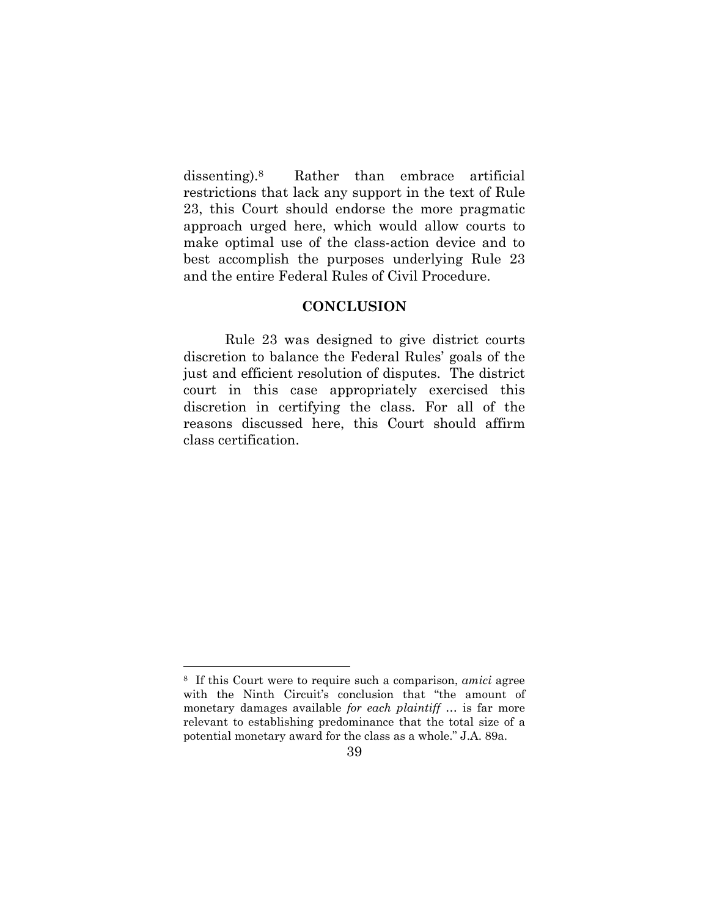dissenting).8 Rather than embrace artificial restrictions that lack any support in the text of Rule 23, this Court should endorse the more pragmatic approach urged here, which would allow courts to make optimal use of the class-action device and to best accomplish the purposes underlying Rule 23 and the entire Federal Rules of Civil Procedure.

### **CONCLUSION**

 Rule 23 was designed to give district courts discretion to balance the Federal Rules' goals of the just and efficient resolution of disputes. The district court in this case appropriately exercised this discretion in certifying the class. For all of the reasons discussed here, this Court should affirm class certification.

<sup>8</sup> If this Court were to require such a comparison, *amici* agree with the Ninth Circuit's conclusion that "the amount of monetary damages available *for each plaintiff* … is far more relevant to establishing predominance that the total size of a potential monetary award for the class as a whole." J.A. 89a.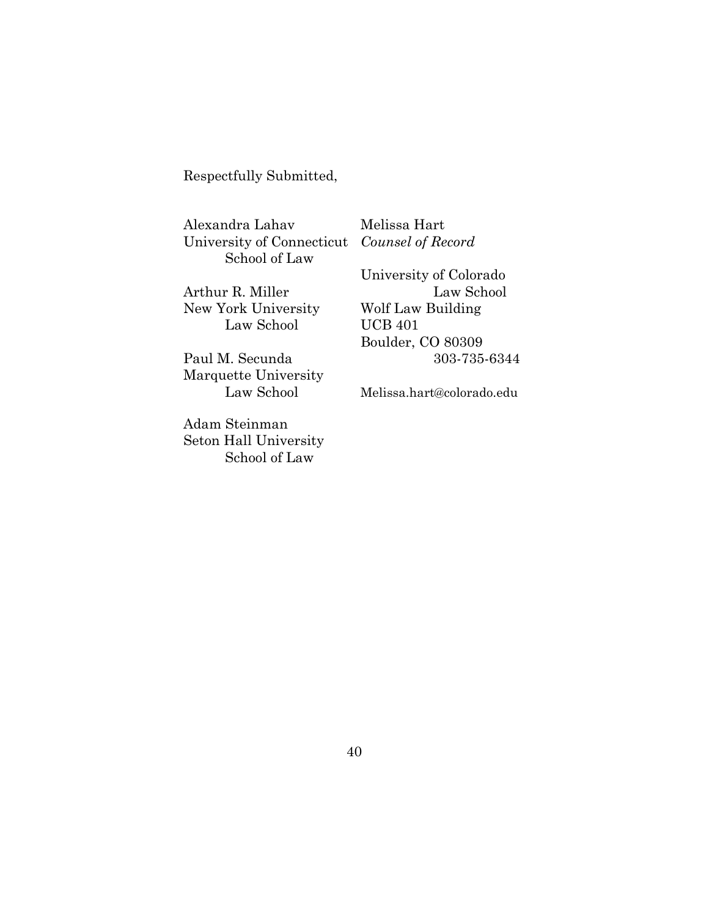Respectfully Submitted,

Alexandra Lahav Melissa Hart University of Connecticut *Counsel of Record*  School of Law

New York University Wolf Law Building Law School UCB 401

Marquette University

Adam Steinman Seton Hall University School of Law

 University of Colorado Arthur R. Miller Law School Boulder, CO 80309 Paul M. Secunda 303-735-6344

Law School Melissa.hart@colorado.edu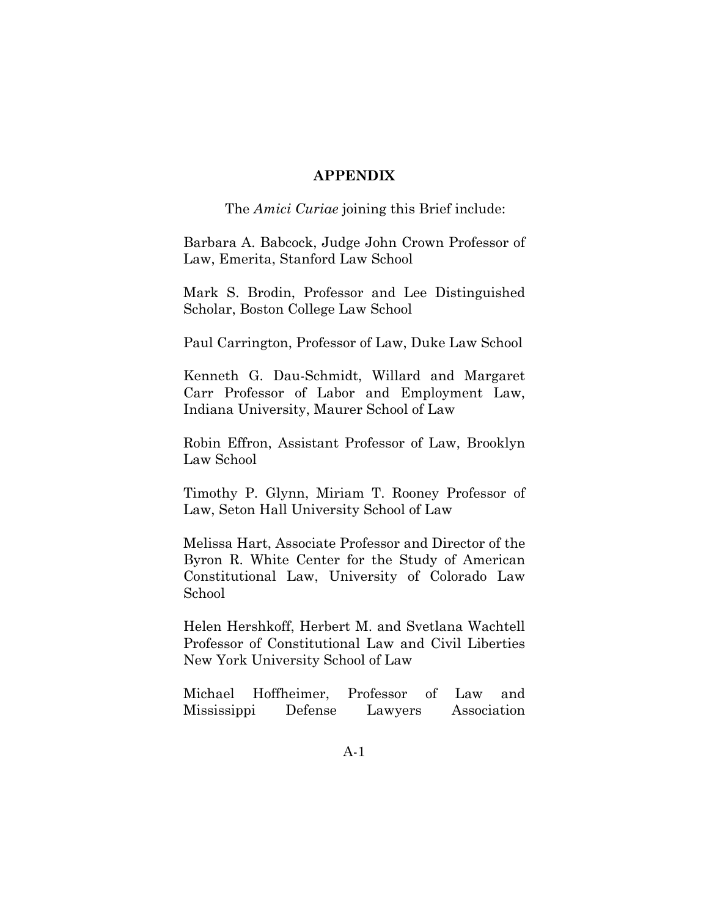### **APPENDIX**

The *Amici Curiae* joining this Brief include:

Barbara A. Babcock, Judge John Crown Professor of Law, Emerita, Stanford Law School

Mark S. Brodin, Professor and Lee Distinguished Scholar, Boston College Law School

Paul Carrington, Professor of Law, Duke Law School

Kenneth G. Dau-Schmidt, Willard and Margaret Carr Professor of Labor and Employment Law, Indiana University, Maurer School of Law

Robin Effron, Assistant Professor of Law, Brooklyn Law School

Timothy P. Glynn, Miriam T. Rooney Professor of Law, Seton Hall University School of Law

Melissa Hart, Associate Professor and Director of the Byron R. White Center for the Study of American Constitutional Law, University of Colorado Law School

Helen Hershkoff, Herbert M. and Svetlana Wachtell Professor of Constitutional Law and Civil Liberties New York University School of Law

Michael Hoffheimer, Professor of Law and Mississippi Defense Lawyers Association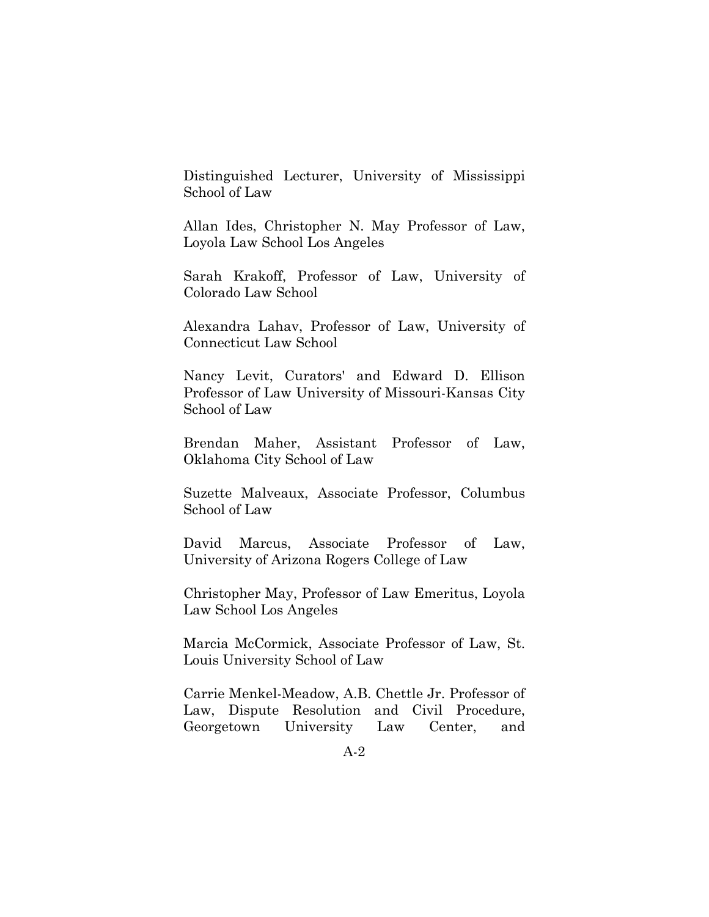Distinguished Lecturer, University of Mississippi School of Law

Allan Ides, Christopher N. May Professor of Law, Loyola Law School Los Angeles

Sarah Krakoff, Professor of Law, University of Colorado Law School

Alexandra Lahav, Professor of Law, University of Connecticut Law School

Nancy Levit, Curators' and Edward D. Ellison Professor of Law University of Missouri-Kansas City School of Law

Brendan Maher, Assistant Professor of Law, Oklahoma City School of Law

Suzette Malveaux, Associate Professor, Columbus School of Law

David Marcus, Associate Professor of Law, University of Arizona Rogers College of Law

Christopher May, Professor of Law Emeritus, Loyola Law School Los Angeles

Marcia McCormick, Associate Professor of Law, St. Louis University School of Law

Carrie Menkel-Meadow, A.B. Chettle Jr. Professor of Law, Dispute Resolution and Civil Procedure, Georgetown University Law Center, and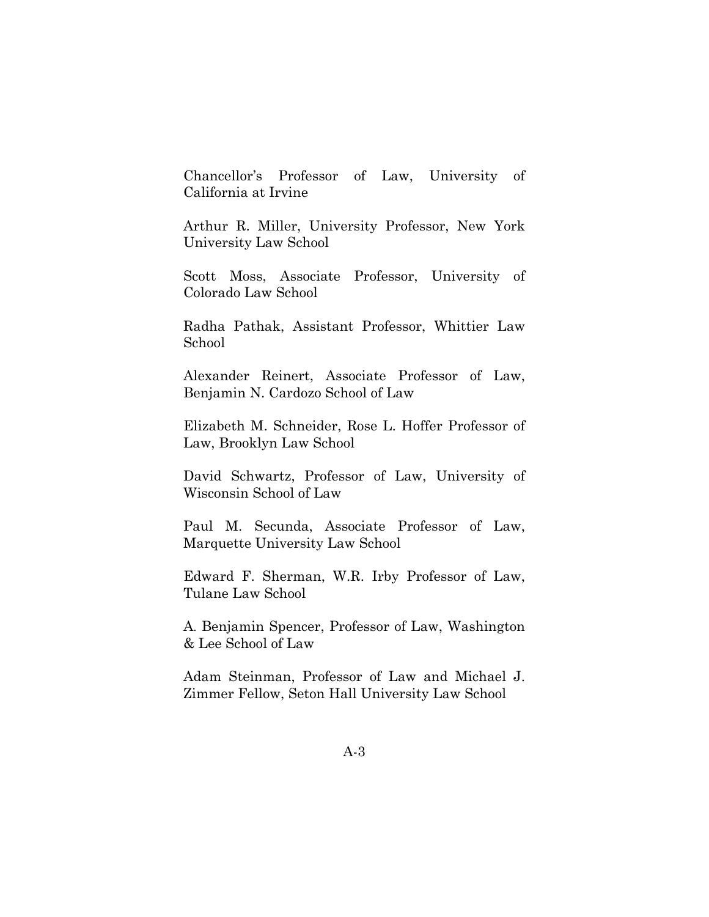Chancellor's Professor of Law, University of California at Irvine

Arthur R. Miller, University Professor, New York University Law School

Scott Moss, Associate Professor, University of Colorado Law School

Radha Pathak, Assistant Professor, Whittier Law School

Alexander Reinert, Associate Professor of Law, Benjamin N. Cardozo School of Law

Elizabeth M. Schneider, Rose L. Hoffer Professor of Law, Brooklyn Law School

David Schwartz, Professor of Law, University of Wisconsin School of Law

Paul M. Secunda, Associate Professor of Law, Marquette University Law School

Edward F. Sherman, W.R. Irby Professor of Law, Tulane Law School

A. Benjamin Spencer, Professor of Law, Washington & Lee School of Law

Adam Steinman, Professor of Law and Michael J. Zimmer Fellow, Seton Hall University Law School